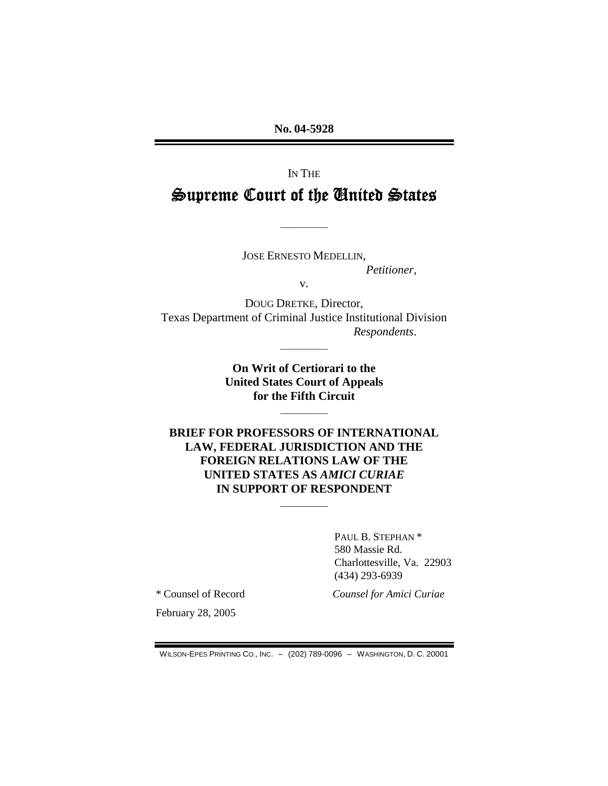**No. 04-5928**

# IN THE **Supreme Court of the United States**

————

JOSE ERNESTO MEDELLIN,

*Petitioner*,

v.

DOUG DRETKE, Director, Texas Department of Criminal Justice Institutional Division *Respondents*.

————

**On Writ of Certiorari to the United States Court of Appeals for the Fifth Circuit**

————

**BRIEF FOR PROFESSORS OF INTERNATIONAL LAW, FEDERAL JURISDICTION AND THE FOREIGN RELATIONS LAW OF THE UNITED STATES AS** *AMICI CURIAE* **IN SUPPORT OF RESPONDENT**

————

PAUL B. STEPHAN \* 580 Massie Rd. Charlottesville, Va. 22903 (434) 293-6939

February 28, 2005

\* Counsel of Record *Counsel for Amici Curiae*

WILSON-EPES PRINTING CO., INC. – (202) 789-0096 – WASHINGTON, D. C. 20001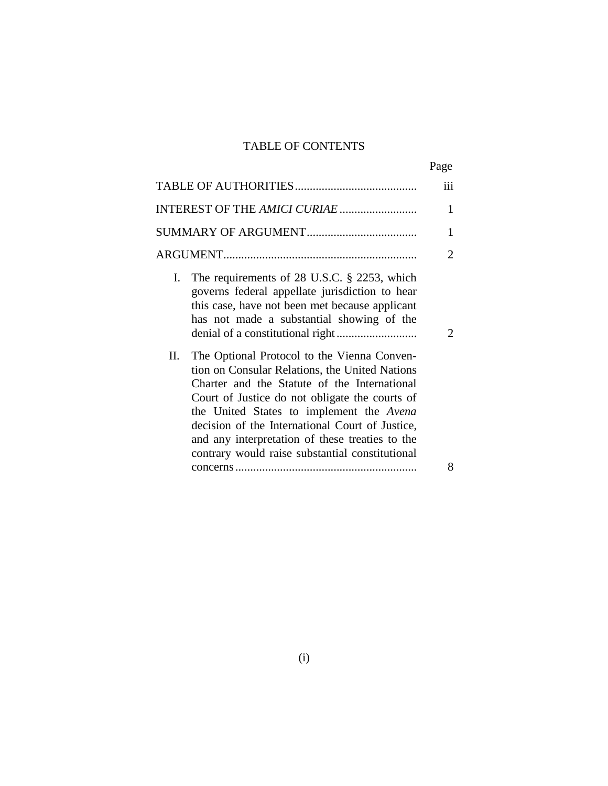# TABLE OF CONTENTS

|                                                                                                                                                                                                                                                                                                                                                                                                            | Page                  |
|------------------------------------------------------------------------------------------------------------------------------------------------------------------------------------------------------------------------------------------------------------------------------------------------------------------------------------------------------------------------------------------------------------|-----------------------|
|                                                                                                                                                                                                                                                                                                                                                                                                            | iii                   |
|                                                                                                                                                                                                                                                                                                                                                                                                            | 1                     |
|                                                                                                                                                                                                                                                                                                                                                                                                            | 1                     |
|                                                                                                                                                                                                                                                                                                                                                                                                            | 2                     |
| The requirements of 28 U.S.C. $\S$ 2253, which<br>I.<br>governs federal appellate jurisdiction to hear<br>this case, have not been met because applicant<br>has not made a substantial showing of the                                                                                                                                                                                                      | $\mathcal{D}_{\cdot}$ |
| П.<br>The Optional Protocol to the Vienna Conven-<br>tion on Consular Relations, the United Nations<br>Charter and the Statute of the International<br>Court of Justice do not obligate the courts of<br>the United States to implement the Avena<br>decision of the International Court of Justice,<br>and any interpretation of these treaties to the<br>contrary would raise substantial constitutional |                       |
|                                                                                                                                                                                                                                                                                                                                                                                                            | 8                     |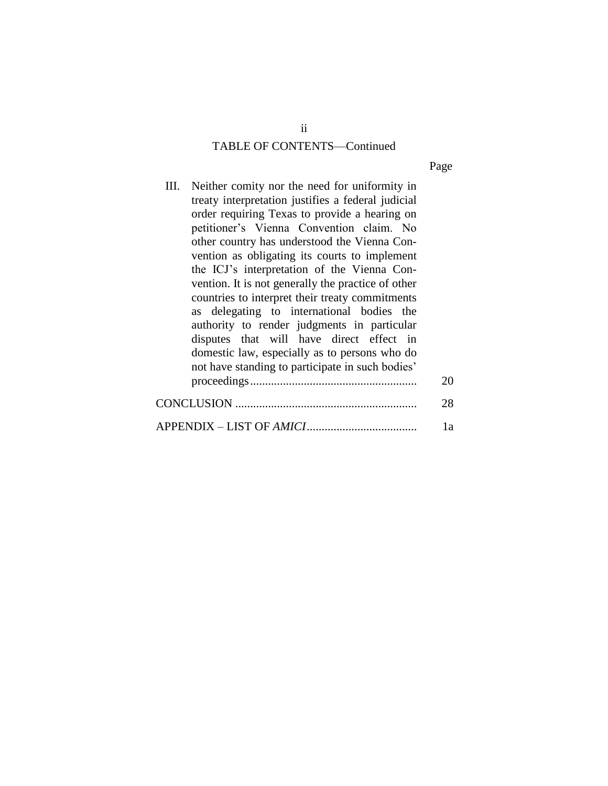# TABLE OF CONTENTS—Continued

| Ш. | Neither comity nor the need for uniformity in<br>treaty interpretation justifies a federal judicial<br>order requiring Texas to provide a hearing on<br>petitioner's Vienna Convention claim. No<br>other country has understood the Vienna Con-<br>vention as obligating its courts to implement<br>the ICJ's interpretation of the Vienna Con-<br>vention. It is not generally the practice of other<br>countries to interpret their treaty commitments<br>as delegating to international bodies the<br>authority to render judgments in particular<br>disputes that will have direct effect in<br>domestic law, especially as to persons who do<br>not have standing to participate in such bodies' | 20 |
|----|--------------------------------------------------------------------------------------------------------------------------------------------------------------------------------------------------------------------------------------------------------------------------------------------------------------------------------------------------------------------------------------------------------------------------------------------------------------------------------------------------------------------------------------------------------------------------------------------------------------------------------------------------------------------------------------------------------|----|
|    |                                                                                                                                                                                                                                                                                                                                                                                                                                                                                                                                                                                                                                                                                                        |    |
|    |                                                                                                                                                                                                                                                                                                                                                                                                                                                                                                                                                                                                                                                                                                        | 28 |
|    |                                                                                                                                                                                                                                                                                                                                                                                                                                                                                                                                                                                                                                                                                                        | 1a |

ii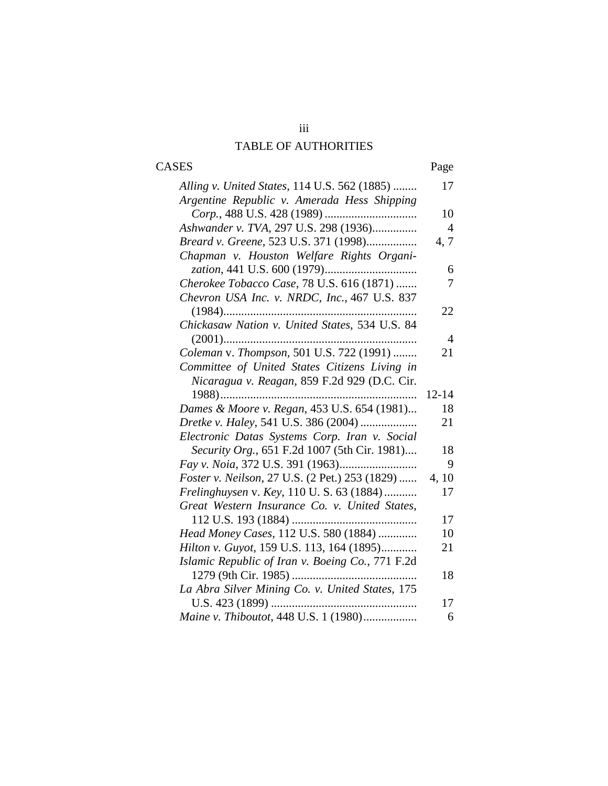# iii TABLE OF AUTHORITIES

# CASES Page

| Alling v. United States, 114 U.S. 562 (1885)     | 17             |
|--------------------------------------------------|----------------|
| Argentine Republic v. Amerada Hess Shipping      |                |
|                                                  | 10             |
| Ashwander v. TVA, 297 U.S. 298 (1936)            | $\overline{4}$ |
| Breard v. Greene, 523 U.S. 371 (1998)            | 4,7            |
| Chapman v. Houston Welfare Rights Organi-        |                |
|                                                  | 6              |
| Cherokee Tobacco Case, 78 U.S. 616 (1871)        | 7              |
| Chevron USA Inc. v. NRDC, Inc., 467 U.S. 837     |                |
|                                                  | 22             |
| Chickasaw Nation v. United States, 534 U.S. 84   |                |
|                                                  | 4              |
| Coleman v. Thompson, 501 U.S. 722 (1991)         | 21             |
| Committee of United States Citizens Living in    |                |
| Nicaragua v. Reagan, 859 F.2d 929 (D.C. Cir.     |                |
|                                                  | $12 - 14$      |
| Dames & Moore v. Regan, 453 U.S. 654 (1981)      | 18             |
| Dretke v. Haley, 541 U.S. 386 (2004)             | 21             |
| Electronic Datas Systems Corp. Iran v. Social    |                |
| Security Org., 651 F.2d 1007 (5th Cir. 1981)     | 18             |
|                                                  | 9              |
| Foster v. Neilson, 27 U.S. (2 Pet.) 253 (1829)   | 4, 10          |
| Frelinghuysen v. Key, 110 U. S. 63 (1884)        | 17             |
| Great Western Insurance Co. v. United States,    |                |
|                                                  | 17             |
| Head Money Cases, 112 U.S. 580 (1884)            | 10             |
| Hilton v. Guyot, 159 U.S. 113, 164 (1895)        | 21             |
| Islamic Republic of Iran v. Boeing Co., 771 F.2d |                |
|                                                  | 18             |
| La Abra Silver Mining Co. v. United States, 175  |                |
|                                                  | 17             |
| Maine v. Thiboutot, 448 U.S. 1 (1980)            | 6              |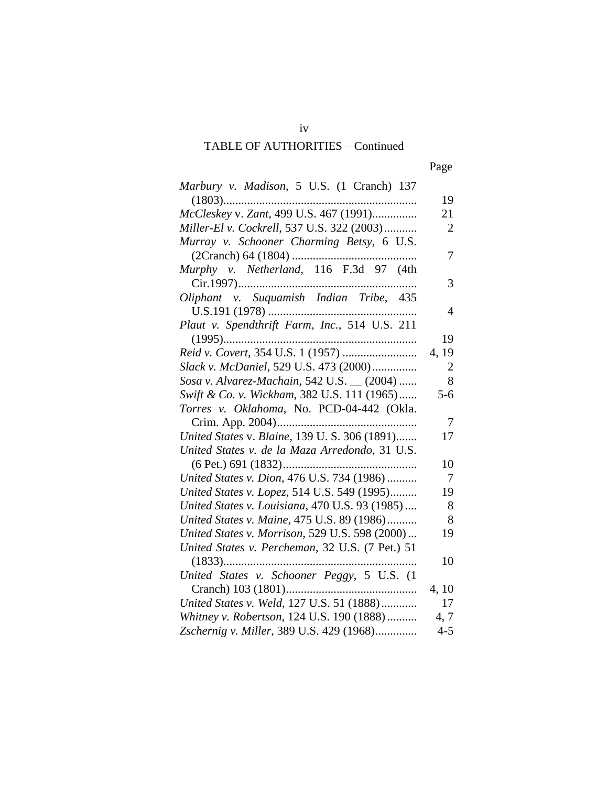| Marbury v. Madison, 5 U.S. (1 Cranch) 137       |                |
|-------------------------------------------------|----------------|
|                                                 | 19             |
| McCleskey v. Zant, 499 U.S. 467 (1991)          | 21             |
| Miller-El v. Cockrell, 537 U.S. 322 (2003)      | $\overline{2}$ |
| Murray v. Schooner Charming Betsy, 6 U.S.       |                |
|                                                 | 7              |
| Murphy v. Netherland, 116 F.3d 97 (4th          |                |
|                                                 | 3              |
| Oliphant v. Suquamish Indian Tribe, 435         |                |
|                                                 | 4              |
| Plaut v. Spendthrift Farm, Inc., 514 U.S. 211   |                |
|                                                 | 19             |
|                                                 | 4, 19          |
| Slack v. McDaniel, 529 U.S. 473 (2000)          | $\overline{2}$ |
| Sosa v. Alvarez-Machain, 542 U.S. _ (2004)      | 8              |
| Swift & Co. v. Wickham, 382 U.S. 111 (1965)     | $5 - 6$        |
| Torres v. Oklahoma, No. PCD-04-442 (Okla.       |                |
|                                                 | 7              |
| United States v. Blaine, 139 U.S. 306 (1891)    | 17             |
| United States v. de la Maza Arredondo, 31 U.S.  |                |
|                                                 | 10             |
| United States v. Dion, 476 U.S. 734 (1986)      | $\tau$         |
| United States v. Lopez, 514 U.S. 549 (1995)     | 19             |
| United States v. Louisiana, 470 U.S. 93 (1985)  | 8              |
| United States v. Maine, 475 U.S. 89 (1986)      | 8              |
| United States v. Morrison, 529 U.S. 598 (2000)  | 19             |
| United States v. Percheman, 32 U.S. (7 Pet.) 51 |                |
|                                                 | 10             |
| United States v. Schooner Peggy, 5 U.S. (1      |                |
| Cranch) 103 (1801)<br>.                         | 4, 10          |
| United States v. Weld, 127 U.S. 51 (1888)       | 17             |
| Whitney v. Robertson, 124 U.S. 190 (1888)       | 4,7            |
| Zschernig v. Miller, 389 U.S. 429 (1968)        | $4 - 5$        |

iv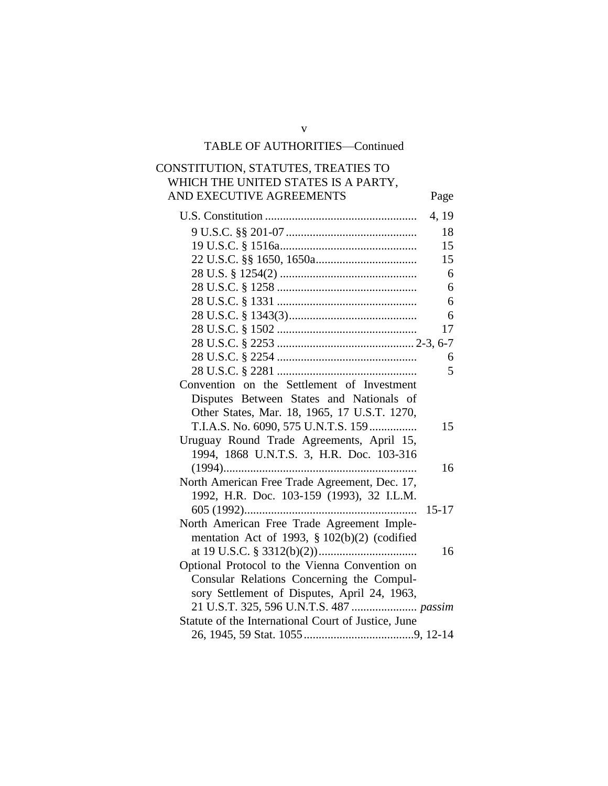### CONSTITUTION, STATUTES, TREATIES TO WHICH THE UNITED STATES IS A PARTY, AND EXECUTIVE AGREEMENTS Page

|                                                     | 4, 19   |
|-----------------------------------------------------|---------|
|                                                     | 18      |
|                                                     | 15      |
|                                                     | 15      |
|                                                     | 6       |
|                                                     | 6       |
|                                                     | 6       |
|                                                     | 6       |
|                                                     | 17      |
|                                                     |         |
|                                                     |         |
|                                                     | 6       |
|                                                     | 5       |
| Convention on the Settlement of Investment          |         |
| Disputes Between States and Nationals of            |         |
| Other States, Mar. 18, 1965, 17 U.S.T. 1270,        |         |
| T.I.A.S. No. 6090, 575 U.N.T.S. 159                 | 15      |
| Uruguay Round Trade Agreements, April 15,           |         |
| 1994, 1868 U.N.T.S. 3, H.R. Doc. 103-316            |         |
|                                                     | 16      |
| North American Free Trade Agreement, Dec. 17,       |         |
| 1992, H.R. Doc. 103-159 (1993), 32 I.L.M.           |         |
|                                                     | $15-17$ |
| North American Free Trade Agreement Imple-          |         |
| mentation Act of 1993, § 102(b)(2) (codified        |         |
|                                                     | 16      |
| Optional Protocol to the Vienna Convention on       |         |
| Consular Relations Concerning the Compul-           |         |
| sory Settlement of Disputes, April 24, 1963,        |         |
|                                                     |         |
| Statute of the International Court of Justice, June |         |
|                                                     |         |
|                                                     |         |

v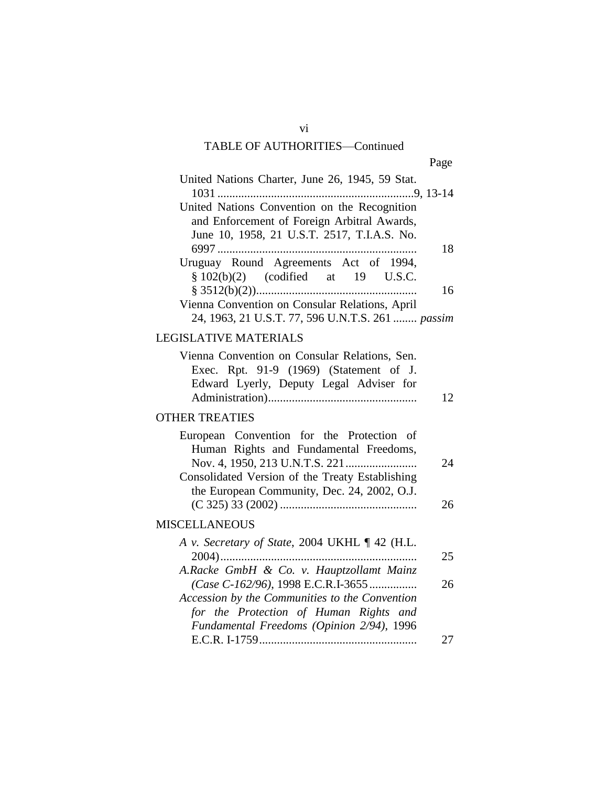|--|

| United Nations Charter, June 26, 1945, 59 Stat.                                                                                       |    |
|---------------------------------------------------------------------------------------------------------------------------------------|----|
| United Nations Convention on the Recognition<br>and Enforcement of Foreign Arbitral Awards,                                           |    |
| June 10, 1958, 21 U.S.T. 2517, T.I.A.S. No.                                                                                           | 18 |
| Uruguay Round Agreements Act of 1994,<br>$$102(b)(2)$ (codified at 19 U.S.C.                                                          |    |
| Vienna Convention on Consular Relations, April                                                                                        | 16 |
| 24, 1963, 21 U.S.T. 77, 596 U.N.T.S. 261  passim                                                                                      |    |
| LEGISLATIVE MATERIALS                                                                                                                 |    |
| Vienna Convention on Consular Relations, Sen.<br>Exec. Rpt. 91-9 (1969) (Statement of J.<br>Edward Lyerly, Deputy Legal Adviser for   |    |
|                                                                                                                                       | 12 |
| <b>OTHER TREATIES</b>                                                                                                                 |    |
| European Convention for the Protection of<br>Human Rights and Fundamental Freedoms,                                                   |    |
| Consolidated Version of the Treaty Establishing                                                                                       | 24 |
| the European Community, Dec. 24, 2002, O.J.                                                                                           | 26 |
| <b>MISCELLANEOUS</b>                                                                                                                  |    |
| A v. Secretary of State, 2004 UKHL ¶ 42 (H.L.<br>$2004)$                                                                              | 25 |
| A.Racke GmbH & Co. v. Hauptzollamt Mainz<br>(Case C-162/96), 1998 E.C.R.I-3655                                                        | 26 |
| Accession by the Communities to the Convention<br>for the Protection of Human Rights and<br>Fundamental Freedoms (Opinion 2/94), 1996 |    |
|                                                                                                                                       | 27 |

vi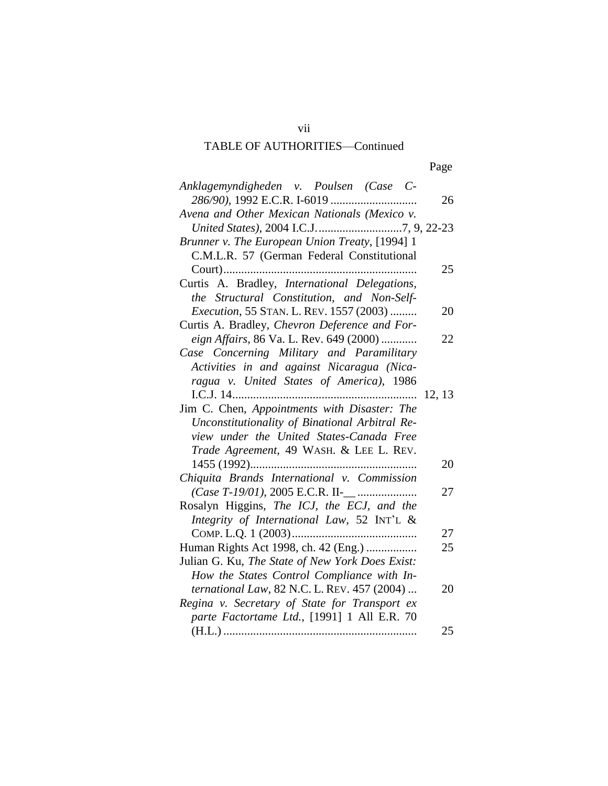Page

| Anklagemyndigheden v. Poulsen (Case C-          |        |
|-------------------------------------------------|--------|
|                                                 | 26     |
| Avena and Other Mexican Nationals (Mexico v.    |        |
|                                                 |        |
| Brunner v. The European Union Treaty, [1994] 1  |        |
| C.M.L.R. 57 (German Federal Constitutional      |        |
|                                                 | 25     |
| Curtis A. Bradley, International Delegations,   |        |
| the Structural Constitution, and Non-Self-      |        |
| Execution, 55 STAN. L. REV. 1557 (2003)         | 20     |
| Curtis A. Bradley, Chevron Deference and For-   |        |
| eign Affairs, 86 Va. L. Rev. 649 (2000)         | 22     |
| Case Concerning Military and Paramilitary       |        |
| Activities in and against Nicaragua (Nica-      |        |
| ragua v. United States of America), 1986        |        |
|                                                 | 12, 13 |
| Jim C. Chen, Appointments with Disaster: The    |        |
| Unconstitutionality of Binational Arbitral Re-  |        |
| view under the United States-Canada Free        |        |
| Trade Agreement, 49 WASH. & LEE L. REV.         |        |
|                                                 | 20     |
| Chiquita Brands International v. Commission     |        |
|                                                 | 27     |
| Rosalyn Higgins, The ICJ, the ECJ, and the      |        |
| Integrity of International Law, 52 INT'L &      |        |
|                                                 | 27     |
| Human Rights Act 1998, ch. 42 (Eng.)            | 25     |
| Julian G. Ku, The State of New York Does Exist: |        |
| How the States Control Compliance with In-      |        |
| ternational Law, 82 N.C. L. REV. 457 (2004)     | 20     |
| Regina v. Secretary of State for Transport ex   |        |
| parte Factortame Ltd., [1991] 1 All E.R. 70     |        |
|                                                 | 25     |

vii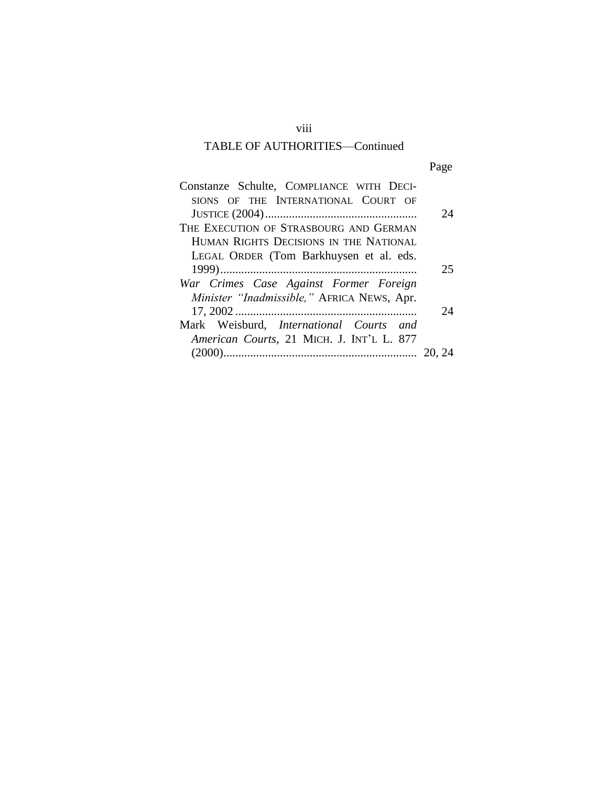viii

| ۰. |
|----|
|----|

| Constanze Schulte, COMPLIANCE WITH DECI-   |        |
|--------------------------------------------|--------|
| SIONS OF THE INTERNATIONAL COURT OF        |        |
|                                            | 24     |
| THE EXECUTION OF STRASBOURG AND GERMAN     |        |
| HUMAN RIGHTS DECISIONS IN THE NATIONAL     |        |
| LEGAL ORDER (Tom Barkhuysen et al. eds.    |        |
|                                            | 25     |
| War Crimes Case Against Former Foreign     |        |
| Minister "Inadmissible," AFRICA NEWS, Apr. |        |
|                                            | 24     |
| Mark Weisburd, International Courts and    |        |
| American Courts, 21 MICH. J. INT'L L. 877  |        |
|                                            | 20, 24 |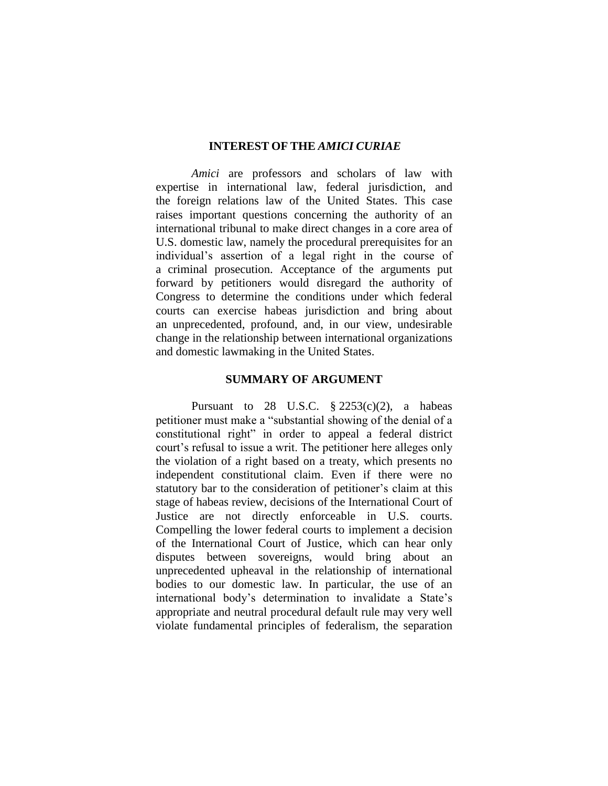### **INTEREST OF THE** *AMICI CURIAE*

*Amici* are professors and scholars of law with expertise in international law, federal jurisdiction, and the foreign relations law of the United States. This case raises important questions concerning the authority of an international tribunal to make direct changes in a core area of U.S. domestic law, namely the procedural prerequisites for an individual's assertion of a legal right in the course of a criminal prosecution. Acceptance of the arguments put forward by petitioners would disregard the authority of Congress to determine the conditions under which federal courts can exercise habeas jurisdiction and bring about an unprecedented, profound, and, in our view, undesirable change in the relationship between international organizations and domestic lawmaking in the United States.

### **SUMMARY OF ARGUMENT**

Pursuant to 28 U.S.C.  $\S$  2253(c)(2), a habeas petitioner must make a "substantial showing of the denial of a constitutional right" in order to appeal a federal district court's refusal to issue a writ. The petitioner here alleges only the violation of a right based on a treaty, which presents no independent constitutional claim. Even if there were no statutory bar to the consideration of petitioner's claim at this stage of habeas review, decisions of the International Court of Justice are not directly enforceable in U.S. courts. Compelling the lower federal courts to implement a decision of the International Court of Justice, which can hear only disputes between sovereigns, would bring about an unprecedented upheaval in the relationship of international bodies to our domestic law. In particular, the use of an international body's determination to invalidate a State's appropriate and neutral procedural default rule may very well violate fundamental principles of federalism, the separation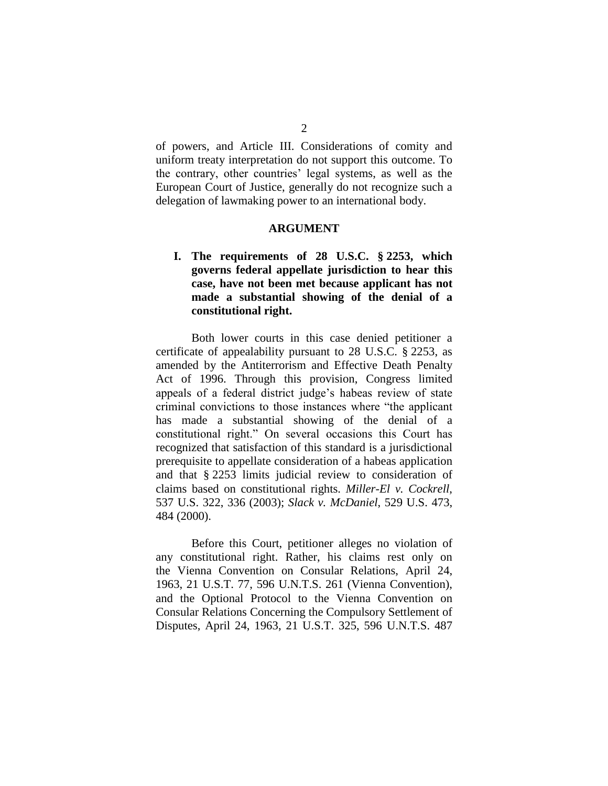of powers, and Article III. Considerations of comity and uniform treaty interpretation do not support this outcome. To the contrary, other countries' legal systems, as well as the European Court of Justice, generally do not recognize such a delegation of lawmaking power to an international body.

#### **ARGUMENT**

**I. The requirements of 28 U.S.C. § 2253, which governs federal appellate jurisdiction to hear this case, have not been met because applicant has not made a substantial showing of the denial of a constitutional right.**

Both lower courts in this case denied petitioner a certificate of appealability pursuant to 28 U.S.C. § 2253, as amended by the Antiterrorism and Effective Death Penalty Act of 1996. Through this provision, Congress limited appeals of a federal district judge's habeas review of state criminal convictions to those instances where "the applicant" has made a substantial showing of the denial of a constitutional right." On several occasions this Court has recognized that satisfaction of this standard is a jurisdictional prerequisite to appellate consideration of a habeas application and that § 2253 limits judicial review to consideration of claims based on constitutional rights. *Miller-El v. Cockrell*, 537 U.S. 322, 336 (2003); *Slack v. McDaniel*, 529 U.S. 473, 484 (2000).

Before this Court, petitioner alleges no violation of any constitutional right. Rather, his claims rest only on the Vienna Convention on Consular Relations, April 24, 1963, 21 U.S.T. 77, 596 U.N.T.S. 261 (Vienna Convention), and the Optional Protocol to the Vienna Convention on Consular Relations Concerning the Compulsory Settlement of Disputes, April 24, 1963, 21 U.S.T. 325, 596 U.N.T.S. 487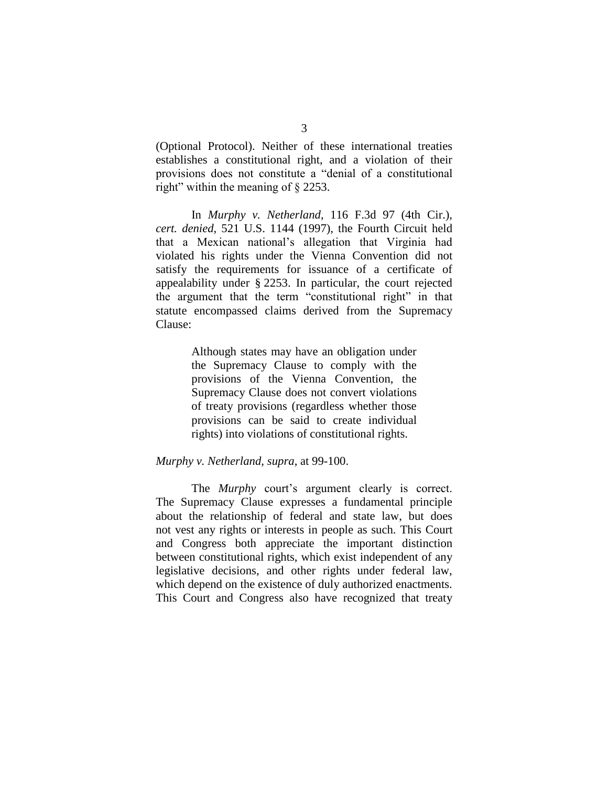(Optional Protocol). Neither of these international treaties establishes a constitutional right, and a violation of their provisions does not constitute a "denial of a constitutional right" within the meaning of  $\S$  2253.

In *Murphy v. Netherland*, 116 F.3d 97 (4th Cir.), *cert. denied*, 521 U.S. 1144 (1997), the Fourth Circuit held that a Mexican national's allegation that Virginia had violated his rights under the Vienna Convention did not satisfy the requirements for issuance of a certificate of appealability under § 2253. In particular, the court rejected the argument that the term "constitutional right" in that statute encompassed claims derived from the Supremacy Clause:

> Although states may have an obligation under the Supremacy Clause to comply with the provisions of the Vienna Convention, the Supremacy Clause does not convert violations of treaty provisions (regardless whether those provisions can be said to create individual rights) into violations of constitutional rights.

#### *Murphy v. Netherland*, *supra*, at 99-100.

The *Murphy* court's argument clearly is correct. The Supremacy Clause expresses a fundamental principle about the relationship of federal and state law, but does not vest any rights or interests in people as such. This Court and Congress both appreciate the important distinction between constitutional rights, which exist independent of any legislative decisions, and other rights under federal law, which depend on the existence of duly authorized enactments. This Court and Congress also have recognized that treaty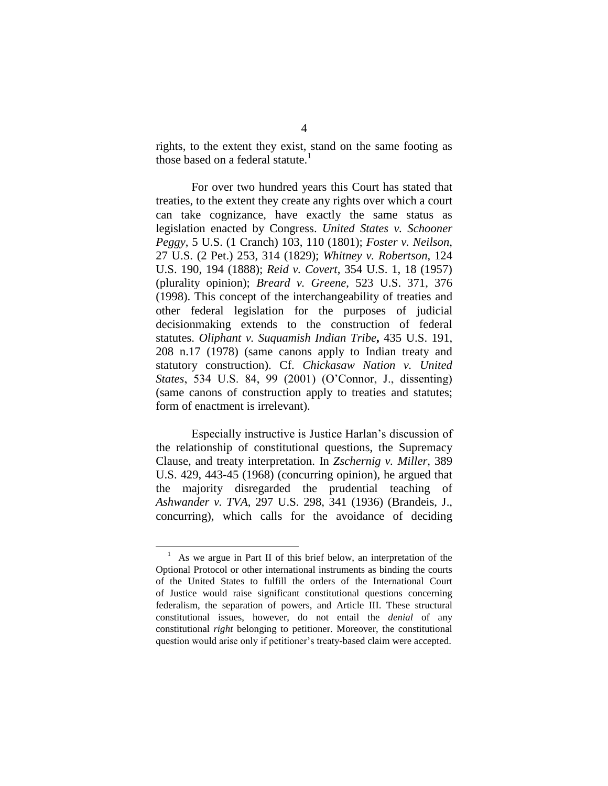rights, to the extent they exist, stand on the same footing as those based on a federal statute.<sup>1</sup>

For over two hundred years this Court has stated that treaties, to the extent they create any rights over which a court can take cognizance, have exactly the same status as legislation enacted by Congress. *United States v. Schooner Peggy*, 5 U.S. (1 Cranch) 103, 110 (1801); *Foster v. Neilson*, 27 U.S. (2 Pet.) 253, 314 (1829); *Whitney v. Robertson*, 124 U.S. 190, 194 (1888); *Reid v. Covert*, 354 U.S. 1, 18 (1957) (plurality opinion); *Breard v. Greene*, 523 U.S. 371, 376 (1998). This concept of the interchangeability of treaties and other federal legislation for the purposes of judicial decisionmaking extends to the construction of federal statutes. *Oliphant v. Suquamish Indian Tribe***,** 435 U.S. 191, 208 n.17 (1978) (same canons apply to Indian treaty and statutory construction). Cf. *Chickasaw Nation v. United States*,534U.S.84,99(2001)(O'Connor,J.,dissenting) (same canons of construction apply to treaties and statutes; form of enactment is irrelevant).

Especially instructive is Justice Harlan's discussion of the relationship of constitutional questions, the Supremacy Clause, and treaty interpretation. In *Zschernig v. Miller*, 389 U.S. 429, 443-45 (1968) (concurring opinion), he argued that the majority disregarded the prudential teaching of *Ashwander v. TVA*, 297 U.S. 298, 341 (1936) (Brandeis, J., concurring), which calls for the avoidance of deciding

<sup>&</sup>lt;sup>1</sup> As we argue in Part II of this brief below, an interpretation of the Optional Protocol or other international instruments as binding the courts of the United States to fulfill the orders of the International Court of Justice would raise significant constitutional questions concerning federalism, the separation of powers, and Article III. These structural constitutional issues, however, do not entail the *denial* of any constitutional *right* belonging to petitioner. Moreover, the constitutional question would arise only if petitioner's treaty-based claim were accepted.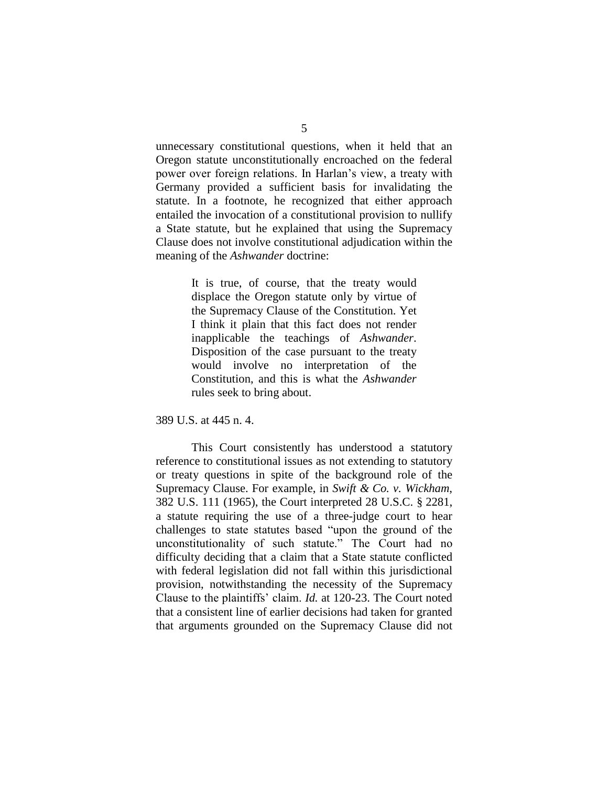unnecessary constitutional questions, when it held that an Oregon statute unconstitutionally encroached on the federal power over foreign relations. In Harlan's view, a treaty with Germany provided a sufficient basis for invalidating the statute. In a footnote, he recognized that either approach entailed the invocation of a constitutional provision to nullify a State statute, but he explained that using the Supremacy Clause does not involve constitutional adjudication within the meaning of the *Ashwander* doctrine:

> It is true, of course, that the treaty would displace the Oregon statute only by virtue of the Supremacy Clause of the Constitution. Yet I think it plain that this fact does not render inapplicable the teachings of *Ashwander*. Disposition of the case pursuant to the treaty would involve no interpretation of the Constitution, and this is what the *Ashwander* rules seek to bring about.

389 U.S. at 445 n. 4.

This Court consistently has understood a statutory reference to constitutional issues as not extending to statutory or treaty questions in spite of the background role of the Supremacy Clause. For example, in *Swift & Co. v. Wickham*, 382 U.S. 111 (1965), the Court interpreted 28 U.S.C. § 2281, a statute requiring the use of a three-judge court to hear challenges to state statutes based "upon the ground of the unconstitutionality of such statute." The Court had no difficulty deciding that a claim that a State statute conflicted with federal legislation did not fall within this jurisdictional provision, notwithstanding the necessity of the Supremacy Clause to the plaintiffs' claim. *Id.* at 120-23. The Court noted that a consistent line of earlier decisions had taken for granted that arguments grounded on the Supremacy Clause did not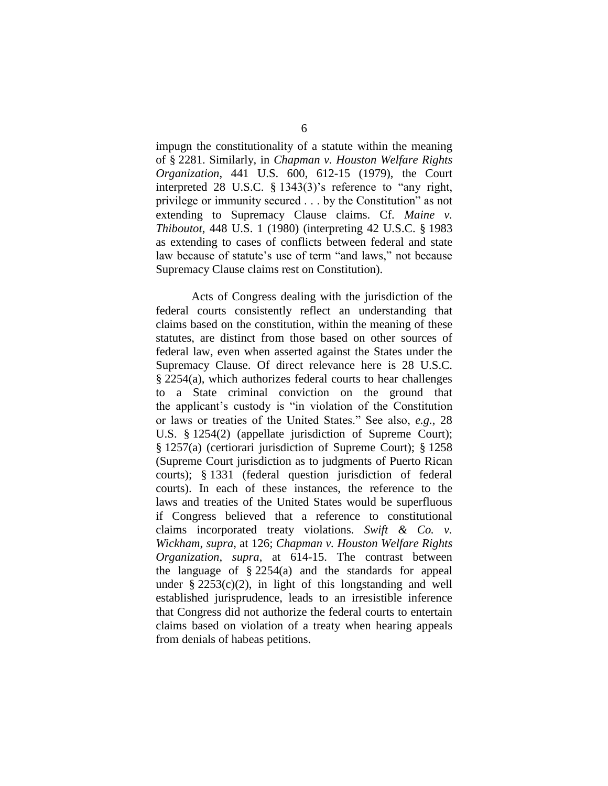impugn the constitutionality of a statute within the meaning of § 2281. Similarly, in *Chapman v. Houston Welfare Rights Organization*, 441 U.S. 600, 612-15 (1979), the Court interpreted 28 U.S.C.  $\S$  1343(3)'s reference to "any right, privilege or immunity secured...by the Constitution" as not extending to Supremacy Clause claims. Cf. *Maine v. Thiboutot*, 448 U.S. 1 (1980) (interpreting 42 U.S.C. § 1983 as extending to cases of conflicts between federal and state law because of statute's use of term "and laws," not because Supremacy Clause claims rest on Constitution).

Acts of Congress dealing with the jurisdiction of the federal courts consistently reflect an understanding that claims based on the constitution, within the meaning of these statutes, are distinct from those based on other sources of federal law, even when asserted against the States under the Supremacy Clause. Of direct relevance here is 28 U.S.C. § 2254(a), which authorizes federal courts to hear challenges to a State criminal conviction on the ground that the applicant's custody is "in violation of the Constitution" or laws or treaties of the United States." See also, e.g., 28 U.S. § 1254(2) (appellate jurisdiction of Supreme Court); § 1257(a) (certiorari jurisdiction of Supreme Court); § 1258 (Supreme Court jurisdiction as to judgments of Puerto Rican courts); § 1331 (federal question jurisdiction of federal courts). In each of these instances, the reference to the laws and treaties of the United States would be superfluous if Congress believed that a reference to constitutional claims incorporated treaty violations. *Swift & Co. v. Wickham*, *supra*, at 126; *Chapman v. Houston Welfare Rights Organization*, *supra*, at 614-15. The contrast between the language of § 2254(a) and the standards for appeal under  $\S 2253(c)(2)$ , in light of this longstanding and well established jurisprudence, leads to an irresistible inference that Congress did not authorize the federal courts to entertain claims based on violation of a treaty when hearing appeals from denials of habeas petitions.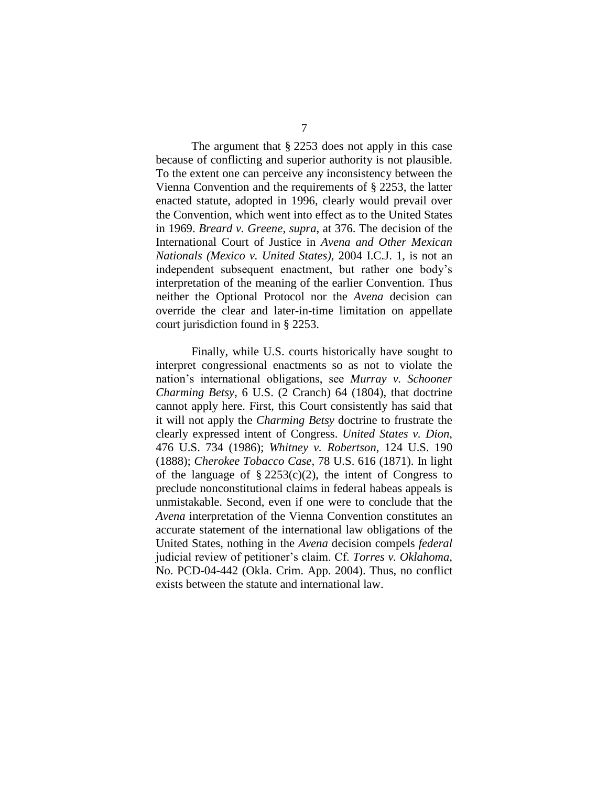The argument that § 2253 does not apply in this case because of conflicting and superior authority is not plausible. To the extent one can perceive any inconsistency between the Vienna Convention and the requirements of § 2253, the latter enacted statute, adopted in 1996, clearly would prevail over the Convention, which went into effect as to the United States in 1969. *Breard v. Greene*, *supra*, at 376. The decision of the International Court of Justice in *Avena and Other Mexican Nationals (Mexico v. United States)*, 2004 I.C.J. 1, is not an independent subsequent enactment, but rather one body's interpretation of the meaning of the earlier Convention. Thus neither the Optional Protocol nor the *Avena* decision can override the clear and later-in-time limitation on appellate court jurisdiction found in § 2253.

Finally, while U.S. courts historically have sought to interpret congressional enactments so as not to violate the nation's international obligations, see *Murray v. Schooner Charming Betsy*, 6 U.S. (2 Cranch) 64 (1804), that doctrine cannot apply here. First, this Court consistently has said that it will not apply the *Charming Betsy* doctrine to frustrate the clearly expressed intent of Congress. *United States v. Dion*, 476 U.S. 734 (1986); *Whitney v. Robertson*, 124 U.S. 190 (1888); *Cherokee Tobacco Case*, 78 U.S. 616 (1871). In light of the language of  $\S$  2253(c)(2), the intent of Congress to preclude nonconstitutional claims in federal habeas appeals is unmistakable. Second, even if one were to conclude that the *Avena* interpretation of the Vienna Convention constitutes an accurate statement of the international law obligations of the United States, nothing in the *Avena* decision compels *federal* judicial review of petitioner's claim. Cf. *Torres v. Oklahoma*, No. PCD-04-442 (Okla. Crim. App. 2004). Thus, no conflict exists between the statute and international law.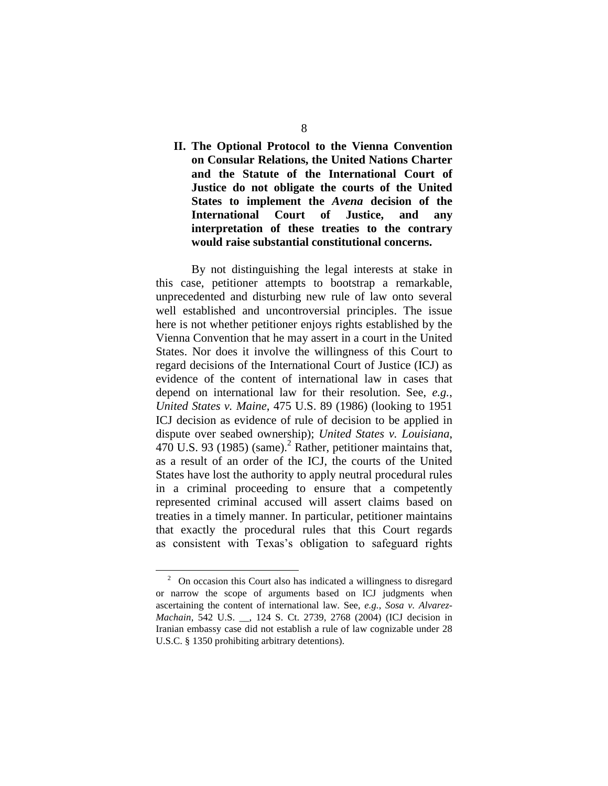### **II. The Optional Protocol to the Vienna Convention on Consular Relations, the United Nations Charter and the Statute of the International Court of Justice do not obligate the courts of the United States to implement the** *Avena* **decision of the International Court of Justice, and any interpretation of these treaties to the contrary would raise substantial constitutional concerns.**

By not distinguishing the legal interests at stake in this case, petitioner attempts to bootstrap a remarkable, unprecedented and disturbing new rule of law onto several well established and uncontroversial principles. The issue here is not whether petitioner enjoys rights established by the Vienna Convention that he may assert in a court in the United States. Nor does it involve the willingness of this Court to regard decisions of the International Court of Justice (ICJ) as evidence of the content of international law in cases that depend on international law for their resolution. See, *e.g.*, *United States v. Maine*, 475 U.S. 89 (1986) (looking to 1951 ICJ decision as evidence of rule of decision to be applied in dispute over seabed ownership); *United States v. Louisiana*, 470 U.S. 93 (1985) (same).<sup>2</sup> Rather, petitioner maintains that, as a result of an order of the ICJ, the courts of the United States have lost the authority to apply neutral procedural rules in a criminal proceeding to ensure that a competently represented criminal accused will assert claims based on treaties in a timely manner. In particular, petitioner maintains that exactly the procedural rules that this Court regards as consistent with Texas's obligation to safeguard rights

<sup>&</sup>lt;sup>2</sup> On occasion this Court also has indicated a willingness to disregard or narrow the scope of arguments based on ICJ judgments when ascertaining the content of international law. See, *e.g.*, *Sosa v. Alvarez-Machain*, 542 U.S. \_\_, 124 S. Ct. 2739, 2768 (2004) (ICJ decision in Iranian embassy case did not establish a rule of law cognizable under 28 U.S.C. § 1350 prohibiting arbitrary detentions).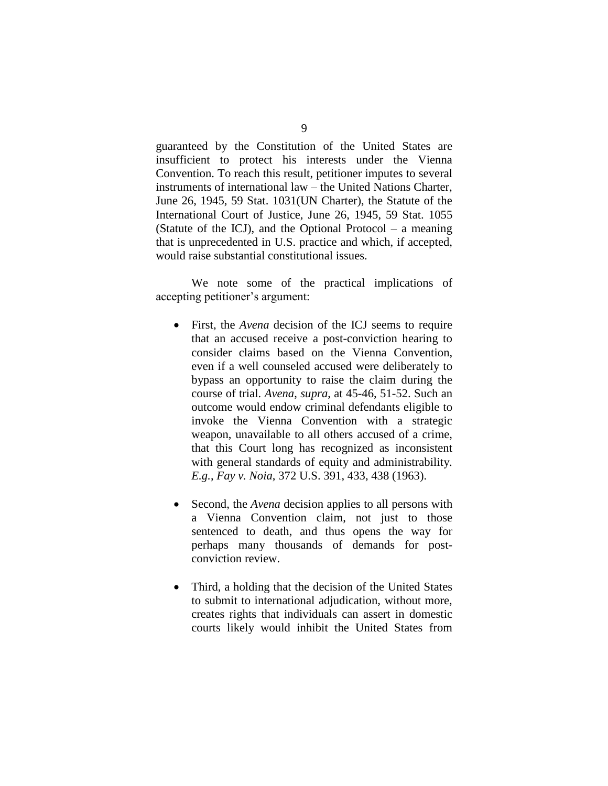guaranteed by the Constitution of the United States are insufficient to protect his interests under the Vienna Convention. To reach this result, petitioner imputes to several  $in$ struments of international law  $-$  the United Nations Charter, June 26, 1945, 59 Stat. 1031(UN Charter), the Statute of the International Court of Justice, June 26, 1945, 59 Stat. 1055 (Statute of the ICJ), and the Optional Protocol – a meaning that is unprecedented in U.S. practice and which, if accepted, would raise substantial constitutional issues.

We note some of the practical implications of accepting petitioner's argument:

- First, the *Avena* decision of the ICJ seems to require that an accused receive a post-conviction hearing to consider claims based on the Vienna Convention, even if a well counseled accused were deliberately to bypass an opportunity to raise the claim during the course of trial. *Avena*, *supra*, at 45-46, 51-52. Such an outcome would endow criminal defendants eligible to invoke the Vienna Convention with a strategic weapon, unavailable to all others accused of a crime, that this Court long has recognized as inconsistent with general standards of equity and administrability. *E.g.*, *Fay v. Noia*, 372 U.S. 391, 433, 438 (1963).
- Second, the *Avena* decision applies to all persons with a Vienna Convention claim, not just to those sentenced to death, and thus opens the way for perhaps many thousands of demands for postconviction review.
- Third, a holding that the decision of the United States to submit to international adjudication, without more, creates rights that individuals can assert in domestic courts likely would inhibit the United States from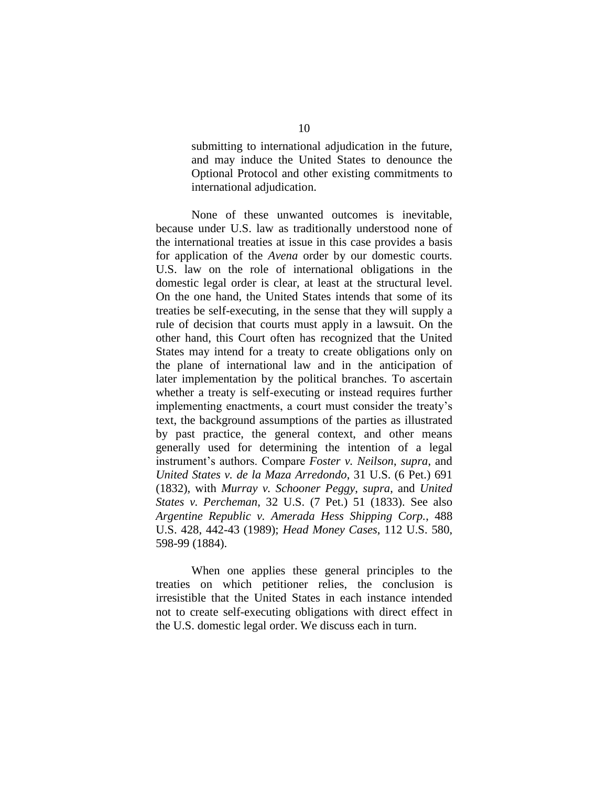submitting to international adjudication in the future, and may induce the United States to denounce the Optional Protocol and other existing commitments to international adjudication.

None of these unwanted outcomes is inevitable, because under U.S. law as traditionally understood none of the international treaties at issue in this case provides a basis for application of the *Avena* order by our domestic courts. U.S. law on the role of international obligations in the domestic legal order is clear, at least at the structural level. On the one hand, the United States intends that some of its treaties be self-executing, in the sense that they will supply a rule of decision that courts must apply in a lawsuit. On the other hand, this Court often has recognized that the United States may intend for a treaty to create obligations only on the plane of international law and in the anticipation of later implementation by the political branches. To ascertain whether a treaty is self-executing or instead requires further implementing enactments, a court must consider the treaty's text, the background assumptions of the parties as illustrated by past practice, the general context, and other means generally used for determining the intention of a legal instrument's authors. Compare *Foster v. Neilson*, *supra*, and *United States v. de la Maza Arredondo*, 31 U.S. (6 Pet.) 691 (1832), with *Murray v. Schooner Peggy*, *supra*, and *United States v. Percheman*, 32 U.S. (7 Pet.) 51 (1833). See also *Argentine Republic v. Amerada Hess Shipping Corp.*, 488 U.S. 428, 442-43 (1989); *Head Money Cases*, 112 U.S. 580, 598-99 (1884).

When one applies these general principles to the treaties on which petitioner relies, the conclusion is irresistible that the United States in each instance intended not to create self-executing obligations with direct effect in the U.S. domestic legal order. We discuss each in turn.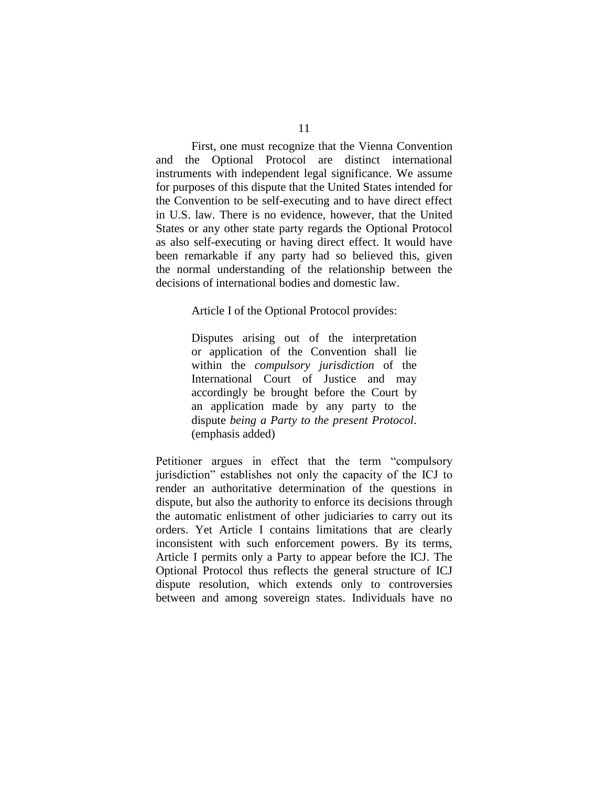First, one must recognize that the Vienna Convention and the Optional Protocol are distinct international instruments with independent legal significance. We assume for purposes of this dispute that the United States intended for the Convention to be self-executing and to have direct effect in U.S. law. There is no evidence, however, that the United States or any other state party regards the Optional Protocol as also self-executing or having direct effect. It would have been remarkable if any party had so believed this, given the normal understanding of the relationship between the decisions of international bodies and domestic law.

Article I of the Optional Protocol provides:

Disputes arising out of the interpretation or application of the Convention shall lie within the *compulsory jurisdiction* of the International Court of Justice and may accordingly be brought before the Court by an application made by any party to the dispute *being a Party to the present Protocol*. (emphasis added)

Petitioner argues in effect that the term "compulsory jurisdiction" establishes not only the capacity of the ICJ to render an authoritative determination of the questions in dispute, but also the authority to enforce its decisions through the automatic enlistment of other judiciaries to carry out its orders. Yet Article I contains limitations that are clearly inconsistent with such enforcement powers. By its terms, Article I permits only a Party to appear before the ICJ. The Optional Protocol thus reflects the general structure of ICJ dispute resolution, which extends only to controversies between and among sovereign states. Individuals have no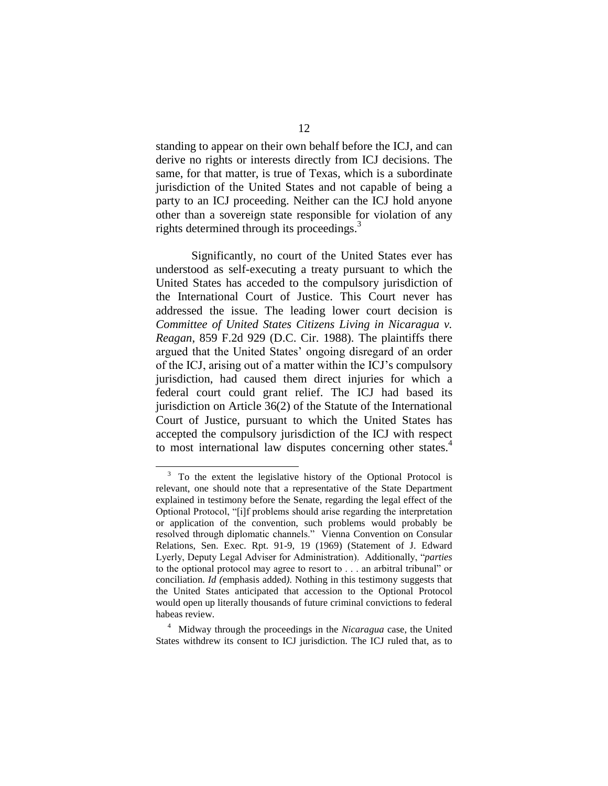standing to appear on their own behalf before the ICJ, and can derive no rights or interests directly from ICJ decisions. The same, for that matter, is true of Texas, which is a subordinate jurisdiction of the United States and not capable of being a party to an ICJ proceeding. Neither can the ICJ hold anyone other than a sovereign state responsible for violation of any rights determined through its proceedings. $\frac{3}{2}$ 

Significantly, no court of the United States ever has understood as self-executing a treaty pursuant to which the United States has acceded to the compulsory jurisdiction of the International Court of Justice. This Court never has addressed the issue. The leading lower court decision is *Committee of United States Citizens Living in Nicaragua v. Reagan*, 859 F.2d 929 (D.C. Cir. 1988). The plaintiffs there argued that the United States' ongoing disregard of an order of the ICJ, arising out of a matter within the ICJ's compulsory jurisdiction, had caused them direct injuries for which a federal court could grant relief. The ICJ had based its jurisdiction on Article 36(2) of the Statute of the International Court of Justice, pursuant to which the United States has accepted the compulsory jurisdiction of the ICJ with respect to most international law disputes concerning other states.<sup>4</sup>

<sup>&</sup>lt;sup>3</sup> To the extent the legislative history of the Optional Protocol is relevant, one should note that a representative of the State Department explained in testimony before the Senate, regarding the legal effect of the Optional Protocol, "[i]f problems should arise regarding the interpretation or application of the convention, such problems would probably be resolved through diplomatic channels." Vienna Convention on Consular Relations, Sen. Exec. Rpt. 91-9, 19 (1969) (Statement of J. Edward Lyerly, Deputy Legal Adviser for Administration). Additionally, "parties to the optional protocol may agree to resort to . . . an arbitral tribunal" or conciliation. *Id (*emphasis added*)*. Nothing in this testimony suggests that the United States anticipated that accession to the Optional Protocol would open up literally thousands of future criminal convictions to federal habeas review.

<sup>4</sup> Midway through the proceedings in the *Nicaragua* case, the United States withdrew its consent to ICJ jurisdiction. The ICJ ruled that, as to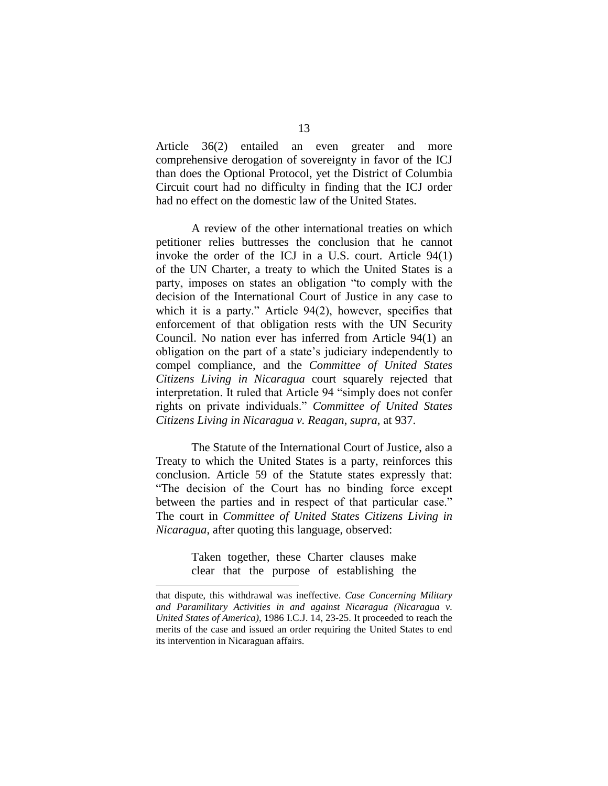Article 36(2) entailed an even greater and more comprehensive derogation of sovereignty in favor of the ICJ than does the Optional Protocol, yet the District of Columbia Circuit court had no difficulty in finding that the ICJ order had no effect on the domestic law of the United States.

A review of the other international treaties on which petitioner relies buttresses the conclusion that he cannot invoke the order of the ICJ in a U.S. court. Article 94(1) of the UN Charter, a treaty to which the United States is a party, imposes on states an obligation "to comply with the decision of the International Court of Justice in any case to which it is a party." Article  $94(2)$ , however, specifies that enforcement of that obligation rests with the UN Security Council. No nation ever has inferred from Article 94(1) an obligation on the part of a state's judiciary independently to compel compliance, and the *Committee of United States Citizens Living in Nicaragua* court squarely rejected that interpretation. It ruled that Article 94 "simply does not confer rights on private individuals." Committee of United States *Citizens Living in Nicaragua v. Reagan*, *supra*, at 937.

The Statute of the International Court of Justice, also a Treaty to which the United States is a party, reinforces this conclusion. Article 59 of the Statute states expressly that: "The decision of the Court has no binding force except between the parties and in respect of that particular case." The court in *Committee of United States Citizens Living in Nicaragua*, after quoting this language, observed:

> Taken together, these Charter clauses make clear that the purpose of establishing the

that dispute, this withdrawal was ineffective. *Case Concerning Military and Paramilitary Activities in and against Nicaragua (Nicaragua v. United States of America)*, 1986 I.C.J. 14, 23-25. It proceeded to reach the merits of the case and issued an order requiring the United States to end its intervention in Nicaraguan affairs.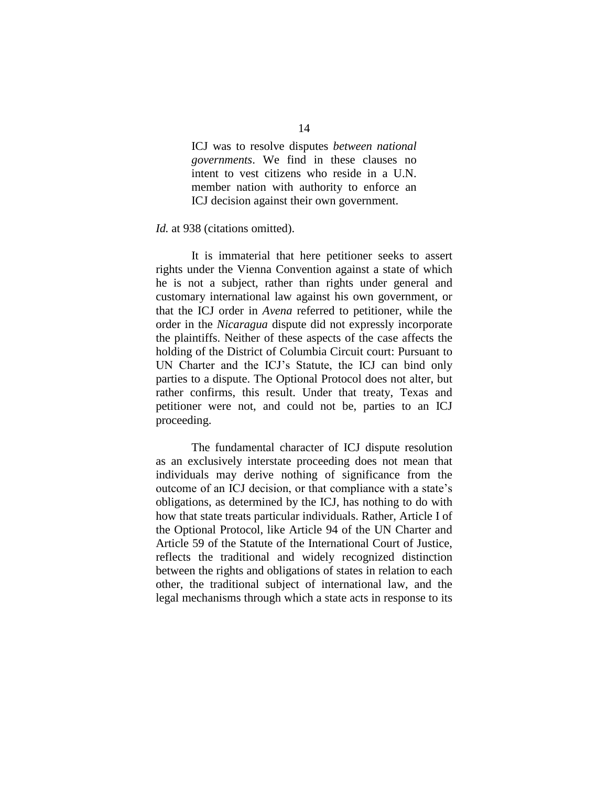ICJ was to resolve disputes *between national governments*. We find in these clauses no intent to vest citizens who reside in a U.N. member nation with authority to enforce an ICJ decision against their own government.

Id. at 938 (citations omitted).

It is immaterial that here petitioner seeks to assert rights under the Vienna Convention against a state of which he is not a subject, rather than rights under general and customary international law against his own government, or that the ICJ order in *Avena* referred to petitioner, while the order in the *Nicaragua* dispute did not expressly incorporate the plaintiffs. Neither of these aspects of the case affects the holding of the District of Columbia Circuit court: Pursuant to UN Charter and the ICJ's Statute, the ICJ can bind only parties to a dispute. The Optional Protocol does not alter, but rather confirms, this result. Under that treaty, Texas and petitioner were not, and could not be, parties to an ICJ proceeding.

The fundamental character of ICJ dispute resolution as an exclusively interstate proceeding does not mean that individuals may derive nothing of significance from the outcome of an ICJ decision, or that compliance with a state's obligations, as determined by the ICJ, has nothing to do with how that state treats particular individuals. Rather, Article I of the Optional Protocol, like Article 94 of the UN Charter and Article 59 of the Statute of the International Court of Justice, reflects the traditional and widely recognized distinction between the rights and obligations of states in relation to each other, the traditional subject of international law, and the legal mechanisms through which a state acts in response to its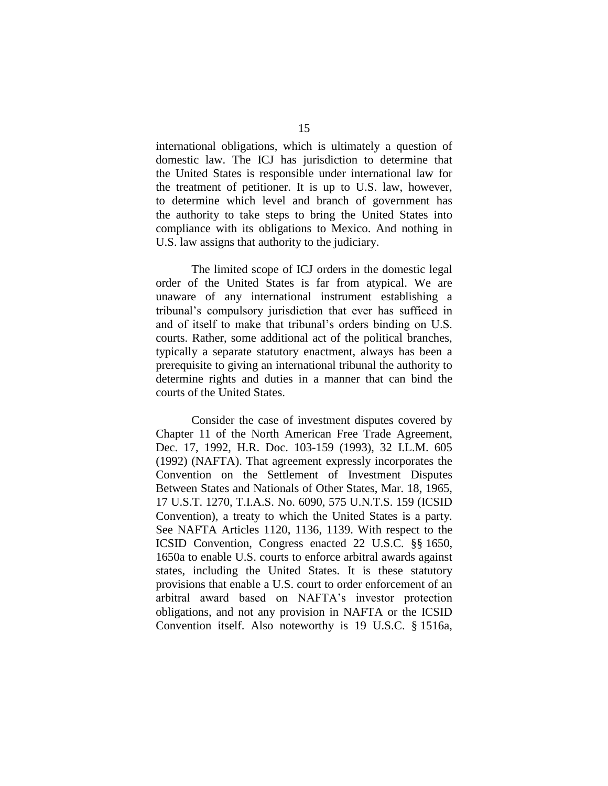international obligations, which is ultimately a question of domestic law. The ICJ has jurisdiction to determine that the United States is responsible under international law for the treatment of petitioner. It is up to U.S. law, however, to determine which level and branch of government has the authority to take steps to bring the United States into compliance with its obligations to Mexico. And nothing in U.S. law assigns that authority to the judiciary.

The limited scope of ICJ orders in the domestic legal order of the United States is far from atypical. We are unaware of any international instrument establishing a tribunal's compulsory jurisdiction that ever has sufficed in and of itself to make that tribunal's orders binding on U.S. courts. Rather, some additional act of the political branches, typically a separate statutory enactment, always has been a prerequisite to giving an international tribunal the authority to determine rights and duties in a manner that can bind the courts of the United States.

Consider the case of investment disputes covered by Chapter 11 of the North American Free Trade Agreement, Dec. 17, 1992, H.R. Doc. 103-159 (1993), 32 I.L.M. 605 (1992) (NAFTA). That agreement expressly incorporates the Convention on the Settlement of Investment Disputes Between States and Nationals of Other States, Mar. 18, 1965, 17 U.S.T. 1270, T.I.A.S. No. 6090, 575 U.N.T.S. 159 (ICSID Convention), a treaty to which the United States is a party. See NAFTA Articles 1120, 1136, 1139. With respect to the ICSID Convention, Congress enacted 22 U.S.C. §§ 1650, 1650a to enable U.S. courts to enforce arbitral awards against states, including the United States. It is these statutory provisions that enable a U.S. court to order enforcement of an arbitral award based on NAFTA's investor protection obligations, and not any provision in NAFTA or the ICSID Convention itself. Also noteworthy is 19 U.S.C. § 1516a,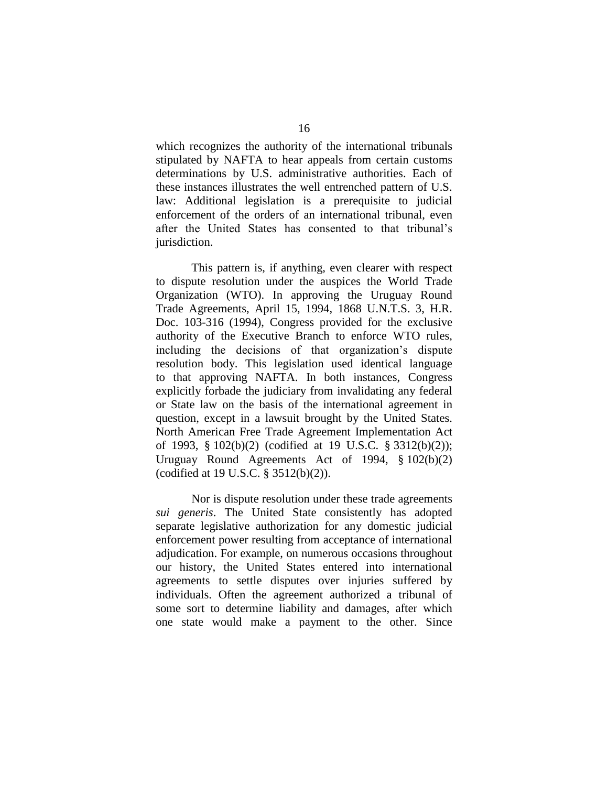which recognizes the authority of the international tribunals stipulated by NAFTA to hear appeals from certain customs determinations by U.S. administrative authorities. Each of these instances illustrates the well entrenched pattern of U.S. law: Additional legislation is a prerequisite to judicial enforcement of the orders of an international tribunal, even after the United States has consented to that tribunal's jurisdiction.

This pattern is, if anything, even clearer with respect to dispute resolution under the auspices the World Trade Organization (WTO). In approving the Uruguay Round Trade Agreements, April 15, 1994, 1868 U.N.T.S. 3, H.R. Doc. 103-316 (1994), Congress provided for the exclusive authority of the Executive Branch to enforce WTO rules, including the decisions of that organization's dispute resolution body. This legislation used identical language to that approving NAFTA. In both instances, Congress explicitly forbade the judiciary from invalidating any federal or State law on the basis of the international agreement in question, except in a lawsuit brought by the United States. North American Free Trade Agreement Implementation Act of 1993, § 102(b)(2) (codified at 19 U.S.C. § 3312(b)(2)); Uruguay Round Agreements Act of 1994, § 102(b)(2) (codified at 19 U.S.C. § 3512(b)(2)).

Nor is dispute resolution under these trade agreements *sui generis*. The United State consistently has adopted separate legislative authorization for any domestic judicial enforcement power resulting from acceptance of international adjudication. For example, on numerous occasions throughout our history, the United States entered into international agreements to settle disputes over injuries suffered by individuals. Often the agreement authorized a tribunal of some sort to determine liability and damages, after which one state would make a payment to the other. Since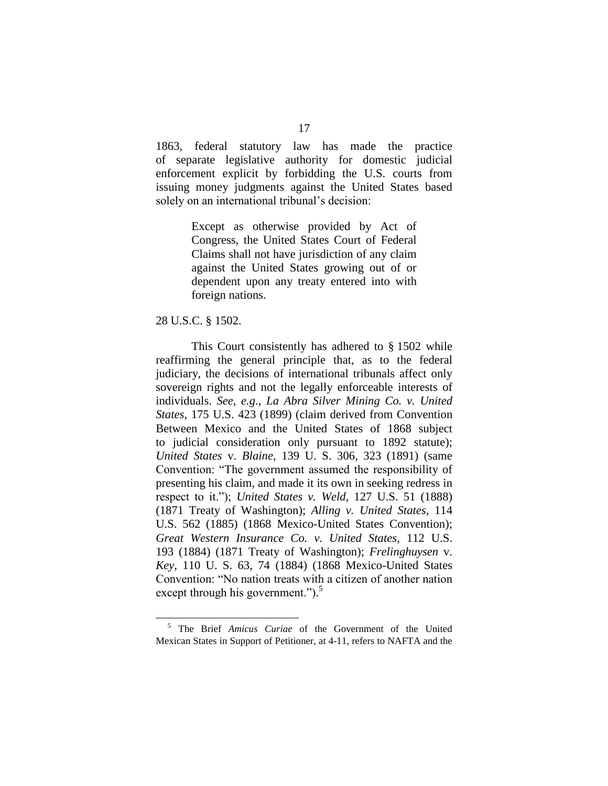1863, federal statutory law has made the practice of separate legislative authority for domestic judicial enforcement explicit by forbidding the U.S. courts from issuing money judgments against the United States based solely on an international tribunal's decision:

> Except as otherwise provided by Act of Congress, the United States Court of Federal Claims shall not have jurisdiction of any claim against the United States growing out of or dependent upon any treaty entered into with foreign nations.

#### 28 U.S.C. § 1502.

This Court consistently has adhered to § 1502 while reaffirming the general principle that, as to the federal judiciary, the decisions of international tribunals affect only sovereign rights and not the legally enforceable interests of individuals. *See*, *e.g.*, *La Abra Silver Mining Co. v. United States*, 175 U.S. 423 (1899) (claim derived from Convention Between Mexico and the United States of 1868 subject to judicial consideration only pursuant to 1892 statute); *United States* v. *Blaine*, 139 U. S. 306, 323 (1891) (same Convention: "The government assumed the responsibility of presenting his claim, and made it its own in seeking redress in respect to it."); *United States v. Weld*, 127 U.S. 51 (1888) (1871 Treaty of Washington); *Alling v. United States*, 114 U.S. 562 (1885) (1868 Mexico-United States Convention); *Great Western Insurance Co. v. United States*, 112 U.S. 193 (1884) (1871 Treaty of Washington); *Frelinghuysen* v. *Key*, 110 U. S. 63, 74 (1884) (1868 Mexico-United States Convention: "No nation treats with a citizen of another nation except through his government." $)$ .<sup>5</sup>

<sup>5</sup> The Brief *Amicus Curiae* of the Government of the United Mexican States in Support of Petitioner, at 4-11, refers to NAFTA and the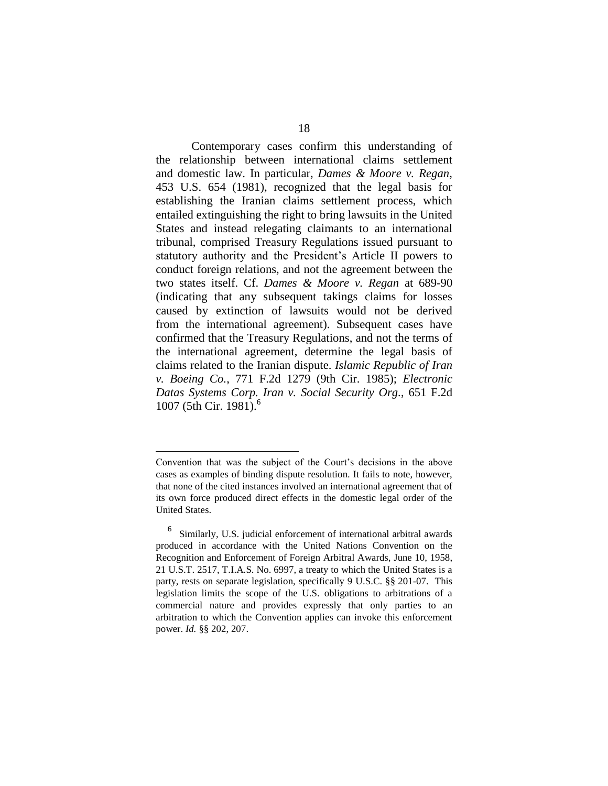Contemporary cases confirm this understanding of the relationship between international claims settlement and domestic law. In particular, *Dames & Moore v. Regan*, 453 U.S. 654 (1981), recognized that the legal basis for establishing the Iranian claims settlement process, which entailed extinguishing the right to bring lawsuits in the United States and instead relegating claimants to an international tribunal, comprised Treasury Regulations issued pursuant to statutory authority and the President's Article II powers to conduct foreign relations, and not the agreement between the two states itself. Cf. *Dames & Moore v. Regan* at 689-90 (indicating that any subsequent takings claims for losses caused by extinction of lawsuits would not be derived from the international agreement). Subsequent cases have confirmed that the Treasury Regulations, and not the terms of the international agreement, determine the legal basis of claims related to the Iranian dispute. *Islamic Republic of Iran v. Boeing Co.*, 771 F.2d 1279 (9th Cir. 1985); *Electronic Datas Systems Corp. Iran v. Social Security Org.*, 651 F.2d 1007 (5th Cir. 1981).<sup>6</sup>

Convention that was the subject of the Court's decisions in the above cases as examples of binding dispute resolution. It fails to note, however, that none of the cited instances involved an international agreement that of its own force produced direct effects in the domestic legal order of the United States.

<sup>6</sup> Similarly, U.S. judicial enforcement of international arbitral awards produced in accordance with the United Nations Convention on the Recognition and Enforcement of Foreign Arbitral Awards, June 10, 1958, 21 U.S.T. 2517, T.I.A.S. No. 6997, a treaty to which the United States is a party, rests on separate legislation, specifically 9 U.S.C. §§ 201-07. This legislation limits the scope of the U.S. obligations to arbitrations of a commercial nature and provides expressly that only parties to an arbitration to which the Convention applies can invoke this enforcement power. *Id.* §§ 202, 207.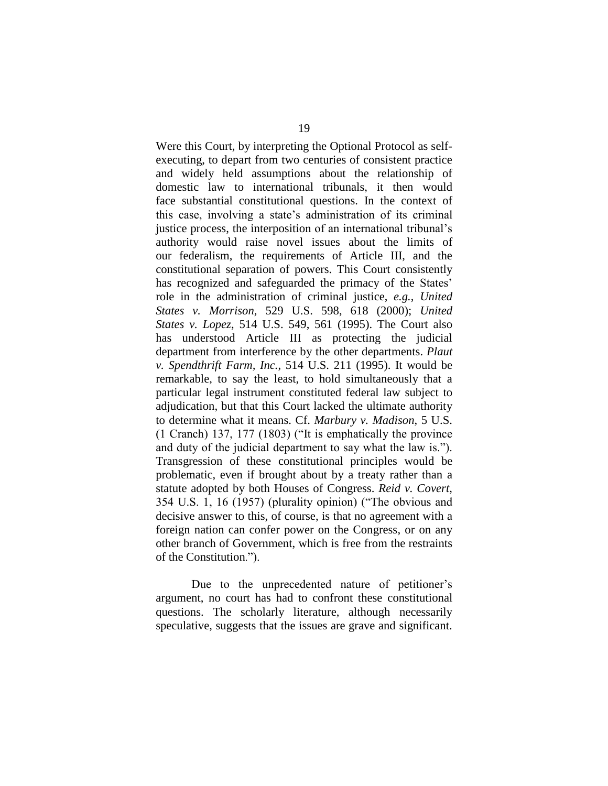Were this Court, by interpreting the Optional Protocol as selfexecuting, to depart from two centuries of consistent practice and widely held assumptions about the relationship of domestic law to international tribunals, it then would face substantial constitutional questions. In the context of this case, involving a state's administration of its criminal justice process, the interposition of an international tribunal's authority would raise novel issues about the limits of our federalism, the requirements of Article III, and the constitutional separation of powers. This Court consistently has recognized and safeguarded the primacy of the States' role in the administration of criminal justice, *e.g.*, *United States v. Morrison*, 529 U.S. 598, 618 (2000); *United States v. Lopez*, 514 U.S. 549, 561 (1995). The Court also has understood Article III as protecting the judicial department from interference by the other departments. *Plaut v. Spendthrift Farm, Inc.*, 514 U.S. 211 (1995). It would be remarkable, to say the least, to hold simultaneously that a particular legal instrument constituted federal law subject to adjudication, but that this Court lacked the ultimate authority to determine what it means. Cf. *Marbury v. Madison*, 5 U.S.  $(1$  Cranch) 137, 177 (1803) ("It is emphatically the province and duty of the judicial department to say what the law is."). Transgression of these constitutional principles would be problematic, even if brought about by a treaty rather than a statute adopted by both Houses of Congress. *Reid v. Covert*, 354 U.S. 1, 16 (1957) (plurality opinion) ("The obvious and decisive answer to this, of course, is that no agreement with a foreign nation can confer power on the Congress, or on any other branch of Government, which is free from the restraints of the Constitution.").

Due to the unprecedented nature of petitioner's argument, no court has had to confront these constitutional questions. The scholarly literature, although necessarily speculative, suggests that the issues are grave and significant.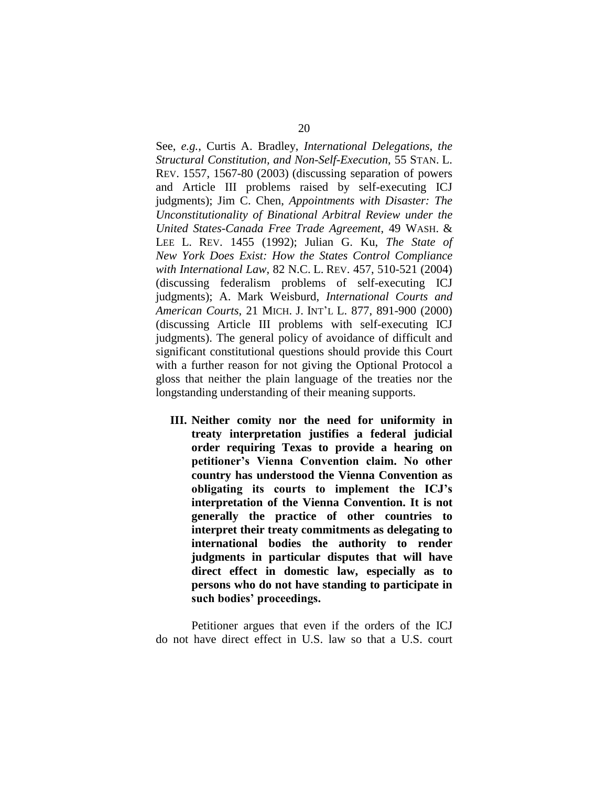See, *e.g.*, Curtis A. Bradley, *International Delegations, the Structural Constitution, and Non-Self-Execution*, 55 STAN. L. REV. 1557, 1567-80 (2003) (discussing separation of powers and Article III problems raised by self-executing ICJ judgments); Jim C. Chen, *Appointments with Disaster: The Unconstitutionality of Binational Arbitral Review under the United States-Canada Free Trade Agreement*, 49 WASH. & LEE L. REV. 1455 (1992); Julian G. Ku, *The State of New York Does Exist: How the States Control Compliance with International Law*, 82 N.C. L. REV. 457, 510-521 (2004) (discussing federalism problems of self-executing ICJ judgments); A. Mark Weisburd, *International Courts and American Courts*, 21 MICH. J. INT'L L. 877, 891-900 (2000) (discussing Article III problems with self-executing ICJ judgments). The general policy of avoidance of difficult and significant constitutional questions should provide this Court with a further reason for not giving the Optional Protocol a gloss that neither the plain language of the treaties nor the longstanding understanding of their meaning supports.

**III. Neither comity nor the need for uniformity in treaty interpretation justifies a federal judicial order requiring Texas to provide a hearing on** petitioner's Vienna Convention claim. No other **country has understood the Vienna Convention as obligating its courts to implementthe ICJ's interpretation of the Vienna Convention. It is not generally the practice of other countries to interpret their treaty commitments as delegating to international bodies the authority to render judgments in particular disputes that will have direct effect in domestic law, especially as to persons who do not have standing to participate in** such bodies' proceedings.

Petitioner argues that even if the orders of the ICJ do not have direct effect in U.S. law so that a U.S. court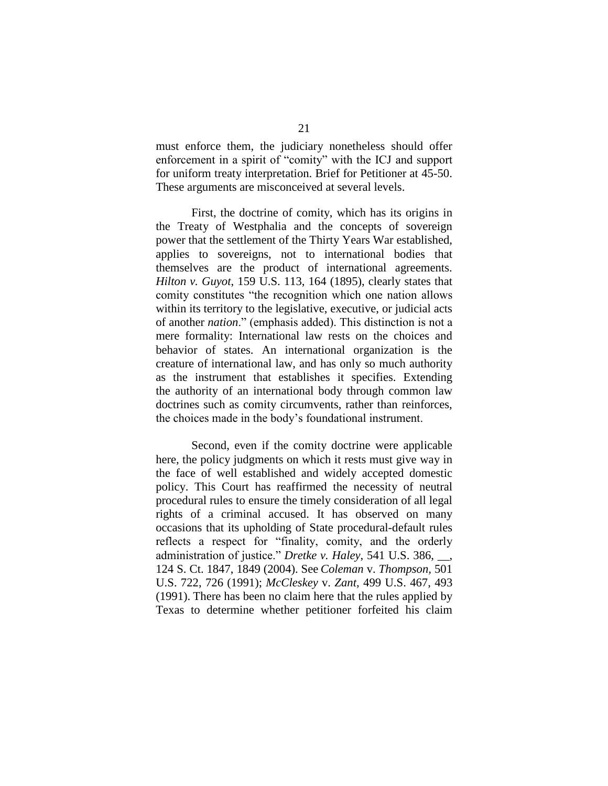must enforce them, the judiciary nonetheless should offer enforcement in a spirit of "comity" with the ICJ and support for uniform treaty interpretation. Brief for Petitioner at 45-50. These arguments are misconceived at several levels.

First, the doctrine of comity, which has its origins in the Treaty of Westphalia and the concepts of sovereign power that the settlement of the Thirty Years War established, applies to sovereigns, not to international bodies that themselves are the product of international agreements. *Hilton v. Guyot*, 159 U.S. 113, 164 (1895), clearly states that comity constitutes "the recognition which one nation allows within its territory to the legislative, executive, or judicial acts of another *nation*." (emphasis added). This distinction is not a mere formality: International law rests on the choices and behavior of states. An international organization is the creature of international law, and has only so much authority as the instrument that establishes it specifies. Extending the authority of an international body through common law doctrines such as comity circumvents, rather than reinforces, the choices made in the body's foundational instrument.

Second, even if the comity doctrine were applicable here, the policy judgments on which it rests must give way in the face of well established and widely accepted domestic policy. This Court has reaffirmed the necessity of neutral procedural rules to ensure the timely consideration of all legal rights of a criminal accused. It has observed on many occasions that its upholding of State procedural-default rules reflects a respect for "finality, comity, and the orderly administration of justice." *Dretke v. Haley*, 541 U.S. 386, ... 124 S. Ct. 1847, 1849 (2004). See *Coleman* v. *Thompson,* 501 U.S. 722, 726 (1991); *McCleskey* v. *Zant,* 499 U.S. 467, 493 (1991). There has been no claim here that the rules applied by Texas to determine whether petitioner forfeited his claim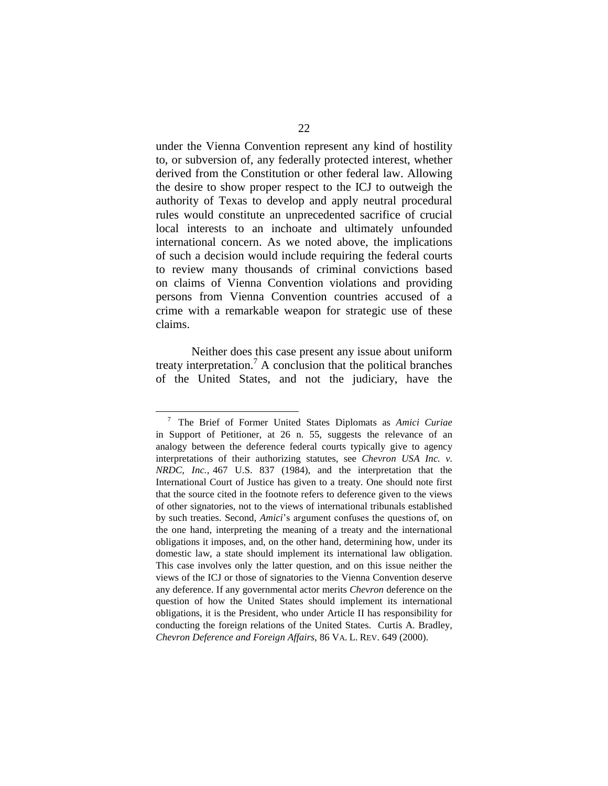under the Vienna Convention represent any kind of hostility to, or subversion of, any federally protected interest, whether derived from the Constitution or other federal law. Allowing the desire to show proper respect to the ICJ to outweigh the authority of Texas to develop and apply neutral procedural rules would constitute an unprecedented sacrifice of crucial local interests to an inchoate and ultimately unfounded international concern. As we noted above, the implications of such a decision would include requiring the federal courts to review many thousands of criminal convictions based on claims of Vienna Convention violations and providing persons from Vienna Convention countries accused of a crime with a remarkable weapon for strategic use of these claims.

Neither does this case present any issue about uniform treaty interpretation.<sup>7</sup> A conclusion that the political branches of the United States, and not the judiciary, have the

<sup>7</sup> The Brief of Former United States Diplomats as *Amici Curiae* in Support of Petitioner, at 26 n. 55, suggests the relevance of an analogy between the deference federal courts typically give to agency interpretations of their authorizing statutes, see *Chevron USA Inc. v. NRDC, Inc.*, 467 U.S. 837 (1984), and the interpretation that the International Court of Justice has given to a treaty. One should note first that the source cited in the footnote refers to deference given to the views of other signatories, not to the views of international tribunals established by such treaties. Second, *Amici*'s argument confuses the questions of, on the one hand, interpreting the meaning of a treaty and the international obligations it imposes, and, on the other hand, determining how, under its domestic law, a state should implement its international law obligation. This case involves only the latter question, and on this issue neither the views of the ICJ or those of signatories to the Vienna Convention deserve any deference. If any governmental actor merits *Chevron* deference on the question of how the United States should implement its international obligations, it is the President, who under Article II has responsibility for conducting the foreign relations of the United States. Curtis A. Bradley, *Chevron Deference and Foreign Affairs*, 86 VA. L. REV. 649 (2000).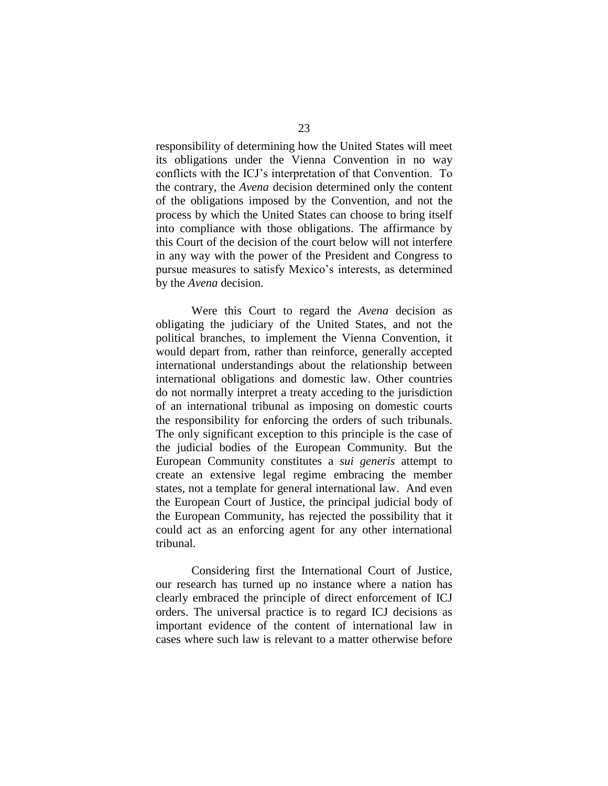responsibility of determining how the United States will meet its obligations under the Vienna Convention in no way conflicts with the ICJ's interpretation of that Convention. To the contrary, the *Avena* decision determined only the content of the obligations imposed by the Convention, and not the process by which the United States can choose to bring itself into compliance with those obligations. The affirmance by this Court of the decision of the court below will not interfere in any way with the power of the President and Congress to pursue measures to satisfy Mexico's interests, as determined by the *Avena* decision.

Were this Court to regard the *Avena* decision as obligating the judiciary of the United States, and not the political branches, to implement the Vienna Convention, it would depart from, rather than reinforce, generally accepted international understandings about the relationship between international obligations and domestic law. Other countries do not normally interpret a treaty acceding to the jurisdiction of an international tribunal as imposing on domestic courts the responsibility for enforcing the orders of such tribunals. The only significant exception to this principle is the case of the judicial bodies of the European Community. But the European Community constitutes a *sui generis* attempt to create an extensive legal regime embracing the member states, not a template for general international law. And even the European Court of Justice, the principal judicial body of the European Community, has rejected the possibility that it could act as an enforcing agent for any other international tribunal.

Considering first the International Court of Justice, our research has turned up no instance where a nation has clearly embraced the principle of direct enforcement of ICJ orders. The universal practice is to regard ICJ decisions as important evidence of the content of international law in cases where such law is relevant to a matter otherwise before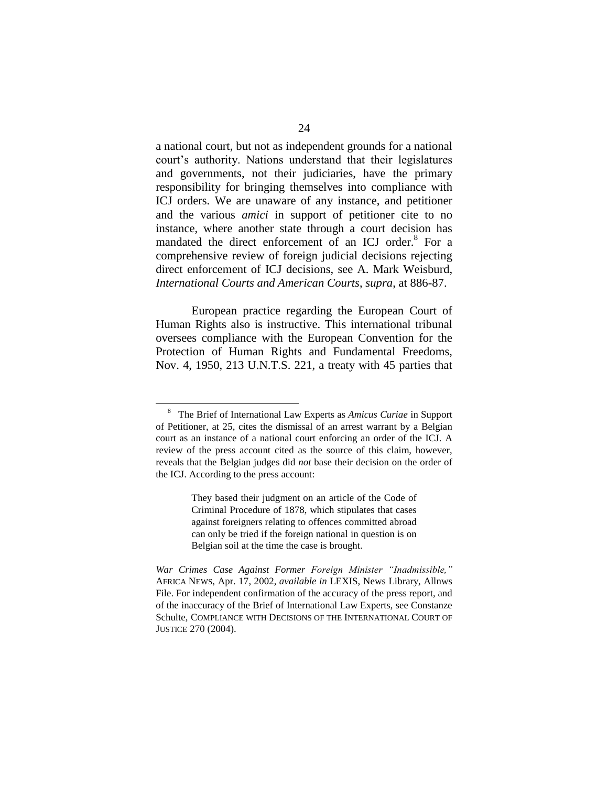a national court, but not as independent grounds for a national court's authority. Nations understand that their legislatures and governments, not their judiciaries, have the primary responsibility for bringing themselves into compliance with ICJ orders. We are unaware of any instance, and petitioner and the various *amici* in support of petitioner cite to no instance, where another state through a court decision has mandated the direct enforcement of an ICJ order.<sup>8</sup> For a comprehensive review of foreign judicial decisions rejecting direct enforcement of ICJ decisions, see A. Mark Weisburd, *International Courts and American Courts*, *supra*, at 886-87.

European practice regarding the European Court of Human Rights also is instructive. This international tribunal oversees compliance with the European Convention for the Protection of Human Rights and Fundamental Freedoms, Nov. 4, 1950, 213 U.N.T.S. 221, a treaty with 45 parties that

<sup>8</sup> The Brief of International Law Experts as *Amicus Curiae* in Support of Petitioner, at 25, cites the dismissal of an arrest warrant by a Belgian court as an instance of a national court enforcing an order of the ICJ. A review of the press account cited as the source of this claim, however, reveals that the Belgian judges did *not* base their decision on the order of the ICJ. According to the press account:

They based their judgment on an article of the Code of Criminal Procedure of 1878, which stipulates that cases against foreigners relating to offences committed abroad can only be tried if the foreign national in question is on Belgian soil at the time the case is brought.

*War Crimes Case Against Former ForeignMinister"Inadmissible,"* AFRICA NEWS, Apr. 17, 2002, *available in* LEXIS, News Library, Allnws File. For independent confirmation of the accuracy of the press report, and of the inaccuracy of the Brief of International Law Experts, see Constanze Schulte, COMPLIANCE WITH DECISIONS OF THE INTERNATIONAL COURT OF JUSTICE 270 (2004).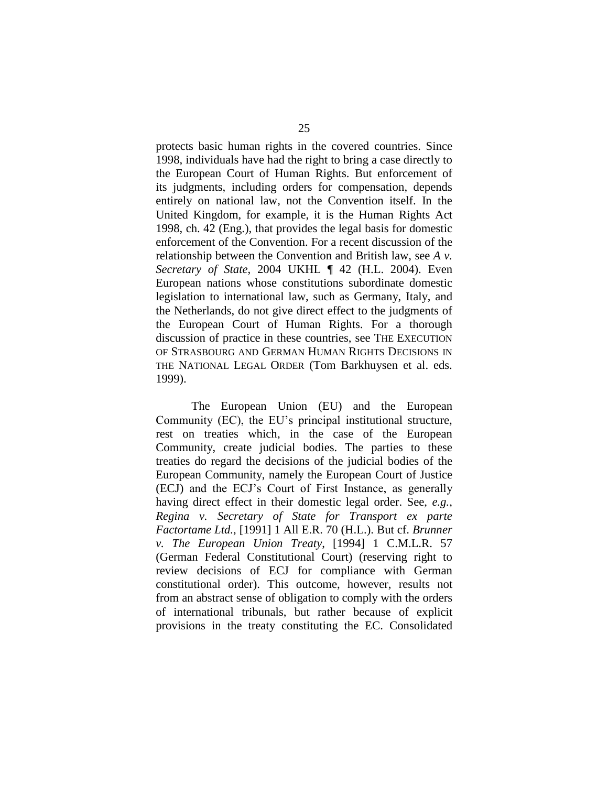protects basic human rights in the covered countries. Since 1998, individuals have had the right to bring a case directly to the European Court of Human Rights. But enforcement of its judgments, including orders for compensation, depends entirely on national law, not the Convention itself. In the United Kingdom, for example, it is the Human Rights Act 1998, ch. 42 (Eng.), that provides the legal basis for domestic enforcement of the Convention. For a recent discussion of the relationship between the Convention and British law, see *A v. Secretary of State*, 2004 UKHL ¶ 42 (H.L. 2004). Even European nations whose constitutions subordinate domestic legislation to international law, such as Germany, Italy, and the Netherlands, do not give direct effect to the judgments of the European Court of Human Rights. For a thorough discussion of practice in these countries, see THE EXECUTION OF STRASBOURG AND GERMAN HUMAN RIGHTS DECISIONS IN THE NATIONAL LEGAL ORDER (Tom Barkhuysen et al. eds. 1999).

The European Union (EU) and the European Community (EC), the EU's principal institutional structure, rest on treaties which, in the case of the European Community, create judicial bodies. The parties to these treaties do regard the decisions of the judicial bodies of the European Community, namely the European Court of Justice (ECJ) and the ECJ's Court of First Instance, as generally having direct effect in their domestic legal order. See, *e.g.*, *Regina v. Secretary of State for Transport ex parte Factortame Ltd.*, [1991] 1 All E.R. 70 (H.L.). But cf. *Brunner v. The European Union Treaty*, [1994] 1 C.M.L.R. 57 (German Federal Constitutional Court) (reserving right to review decisions of ECJ for compliance with German constitutional order). This outcome, however, results not from an abstract sense of obligation to comply with the orders of international tribunals, but rather because of explicit provisions in the treaty constituting the EC. Consolidated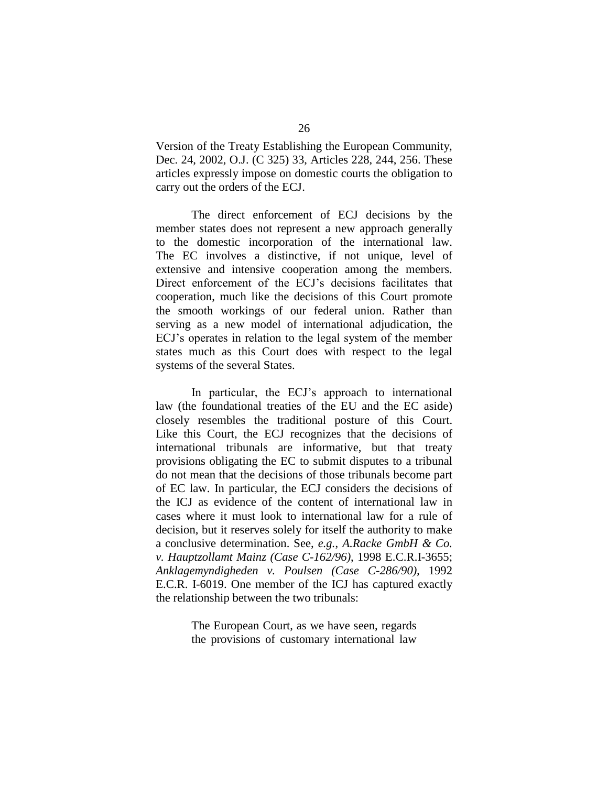Version of the Treaty Establishing the European Community, Dec. 24, 2002, O.J. (C 325) 33, Articles 228, 244, 256. These articles expressly impose on domestic courts the obligation to carry out the orders of the ECJ.

The direct enforcement of ECJ decisions by the member states does not represent a new approach generally to the domestic incorporation of the international law. The EC involves a distinctive, if not unique, level of extensive and intensive cooperation among the members. Direct enforcement of the ECJ's decisions facilitates that cooperation, much like the decisions of this Court promote the smooth workings of our federal union. Rather than serving as a new model of international adjudication, the ECJ's operates in relation to the legal system of the member states much as this Court does with respect to the legal systems of the several States.

In particular, the ECJ's approach to international law (the foundational treaties of the EU and the EC aside) closely resembles the traditional posture of this Court. Like this Court, the ECJ recognizes that the decisions of international tribunals are informative, but that treaty provisions obligating the EC to submit disputes to a tribunal do not mean that the decisions of those tribunals become part of EC law. In particular, the ECJ considers the decisions of the ICJ as evidence of the content of international law in cases where it must look to international law for a rule of decision, but it reserves solely for itself the authority to make a conclusive determination. See, *e.g.*, *A.Racke GmbH & Co. v. Hauptzollamt Mainz (Case C-162/96)*, 1998 E.C.R.I-3655; *Anklagemyndigheden v. Poulsen (Case C-286/90),* 1992 E.C.R. I-6019. One member of the ICJ has captured exactly the relationship between the two tribunals:

> The European Court, as we have seen, regards the provisions of customary international law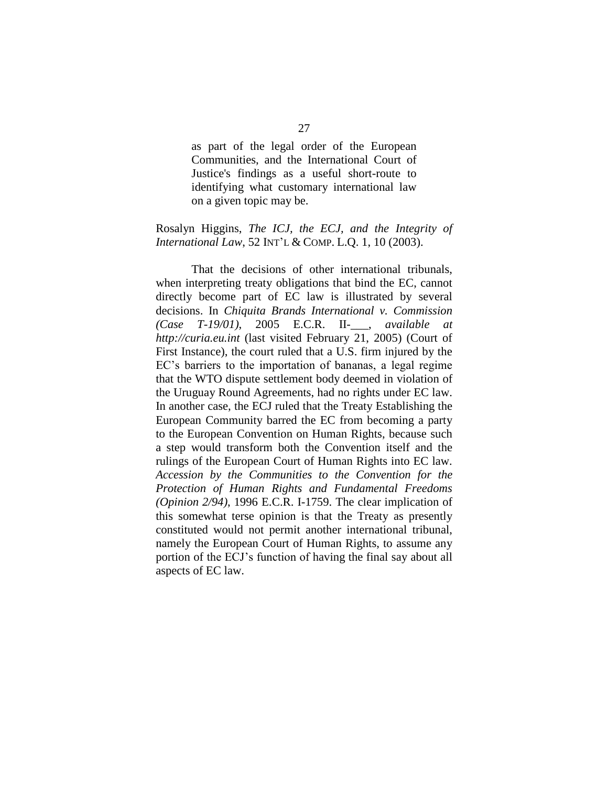as part of the legal order of the European Communities, and the International Court of Justice's findings as a useful short-route to identifying what customary international law on a given topic may be.

### Rosalyn Higgins, *The ICJ, the ECJ, and the Integrity of International Law*, 52 INT'L & COMP. L.Q. 1, 10 (2003).

That the decisions of other international tribunals, when interpreting treaty obligations that bind the EC, cannot directly become part of EC law is illustrated by several decisions. In *Chiquita Brands International v. Commission (Case T-19/01)*, 2005 E.C.R. II-\_\_\_, *available at http://curia.eu.int* (last visited February 21, 2005) (Court of First Instance), the court ruled that a U.S. firm injured by the EC's barriers to the importation of bananas, a legal regime that the WTO dispute settlement body deemed in violation of the Uruguay Round Agreements, had no rights under EC law. In another case, the ECJ ruled that the Treaty Establishing the European Community barred the EC from becoming a party to the European Convention on Human Rights, because such a step would transform both the Convention itself and the rulings of the European Court of Human Rights into EC law. *Accession by the Communities to the Convention for the Protection of Human Rights and Fundamental Freedoms (Opinion 2/94)*, 1996 E.C.R. I-1759. The clear implication of this somewhat terse opinion is that the Treaty as presently constituted would not permit another international tribunal, namely the European Court of Human Rights, to assume any portion of the ECJ's function of having the final say about all aspects of EC law.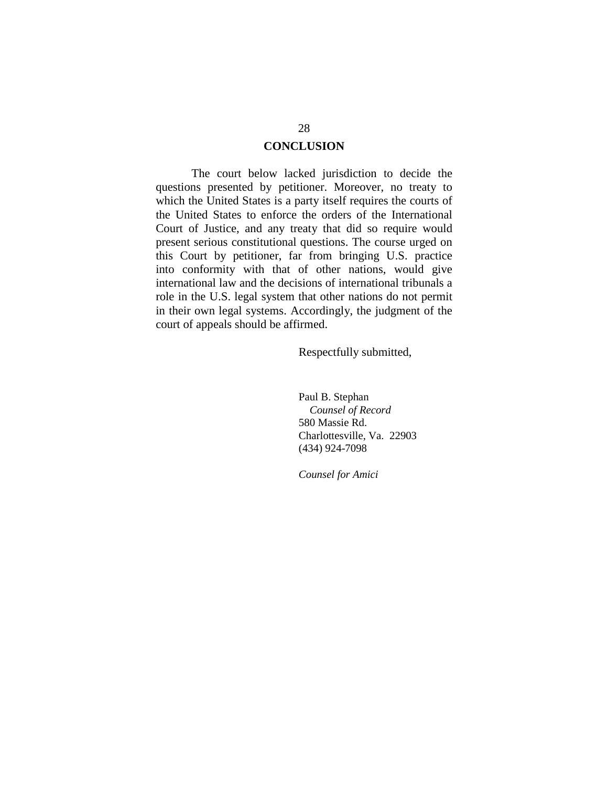### **CONCLUSION**

The court below lacked jurisdiction to decide the questions presented by petitioner. Moreover, no treaty to which the United States is a party itself requires the courts of the United States to enforce the orders of the International Court of Justice, and any treaty that did so require would present serious constitutional questions. The course urged on this Court by petitioner, far from bringing U.S. practice into conformity with that of other nations, would give international law and the decisions of international tribunals a role in the U.S. legal system that other nations do not permit in their own legal systems. Accordingly, the judgment of the court of appeals should be affirmed.

Respectfully submitted,

Paul B. Stephan *Counsel of Record* 580 Massie Rd. Charlottesville, Va. 22903 (434) 924-7098

*Counsel for Amici*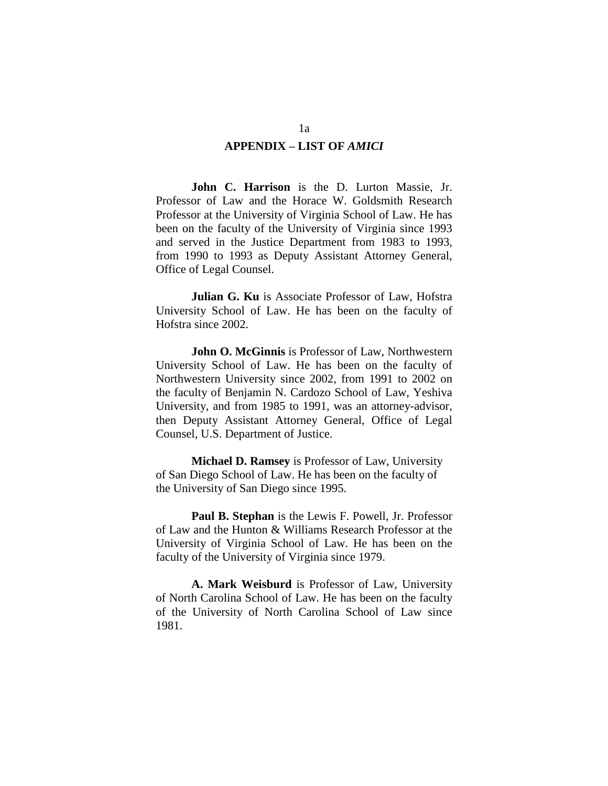### **APPENDIX –LIST OF** *AMICI*

**John C. Harrison** is the D. Lurton Massie, Jr. Professor of Law and the Horace W. Goldsmith Research Professor at the University of Virginia School of Law. He has been on the faculty of the University of Virginia since 1993 and served in the Justice Department from 1983 to 1993, from 1990 to 1993 as Deputy Assistant Attorney General, Office of Legal Counsel.

**Julian G. Ku** is Associate Professor of Law, Hofstra University School of Law. He has been on the faculty of Hofstra since 2002.

**John O. McGinnis** is Professor of Law, Northwestern University School of Law. He has been on the faculty of Northwestern University since 2002, from 1991 to 2002 on the faculty of Benjamin N. Cardozo School of Law, Yeshiva University, and from 1985 to 1991, was an attorney-advisor, then Deputy Assistant Attorney General, Office of Legal Counsel, U.S. Department of Justice.

**Michael D. Ramsey** is Professor of Law, University of San Diego School of Law. He has been on the faculty of the University of San Diego since 1995.

**Paul B. Stephan** is the Lewis F. Powell, Jr. Professor of Law and the Hunton & Williams Research Professor at the University of Virginia School of Law. He has been on the faculty of the University of Virginia since 1979.

**A. Mark Weisburd** is Professor of Law, University of North Carolina School of Law. He has been on the faculty of the University of North Carolina School of Law since 1981.